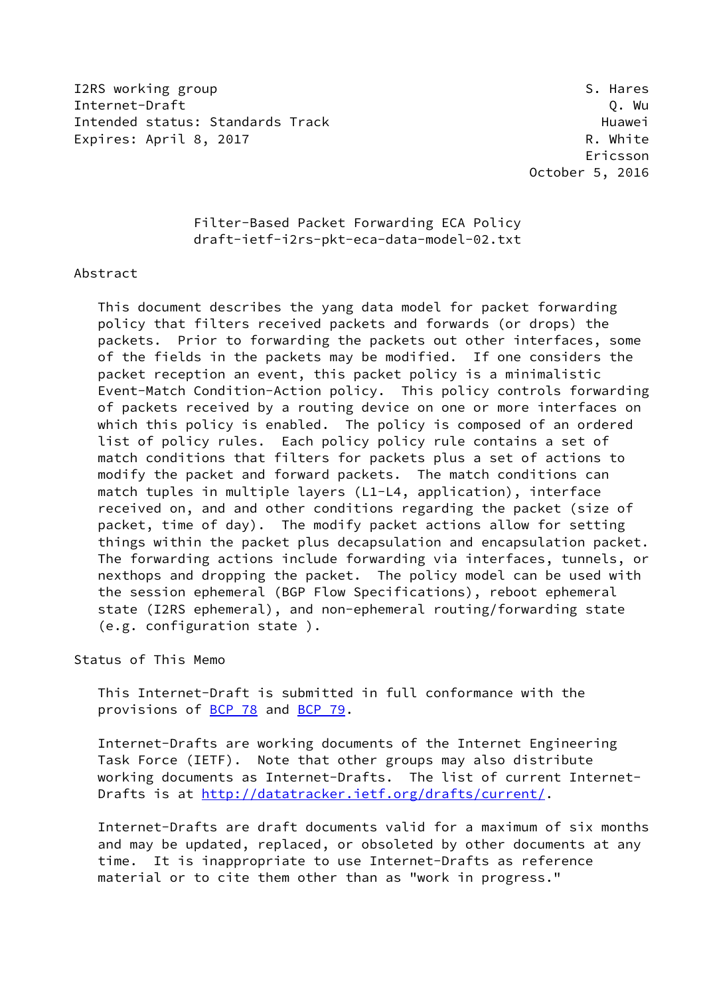I2RS working group states and the set of the set of the set of the set of the set of the set of the set of the set of the set of the set of the set of the set of the set of the set of the set of the set of the set of the s Internet-Draft Q. Wu Intended status: Standards Track Track Huawei Expires: April 8, 2017 **R. White** 

 Ericsson October 5, 2016

# Filter-Based Packet Forwarding ECA Policy draft-ietf-i2rs-pkt-eca-data-model-02.txt

#### Abstract

 This document describes the yang data model for packet forwarding policy that filters received packets and forwards (or drops) the packets. Prior to forwarding the packets out other interfaces, some of the fields in the packets may be modified. If one considers the packet reception an event, this packet policy is a minimalistic Event-Match Condition-Action policy. This policy controls forwarding of packets received by a routing device on one or more interfaces on which this policy is enabled. The policy is composed of an ordered list of policy rules. Each policy policy rule contains a set of match conditions that filters for packets plus a set of actions to modify the packet and forward packets. The match conditions can match tuples in multiple layers (L1-L4, application), interface received on, and and other conditions regarding the packet (size of packet, time of day). The modify packet actions allow for setting things within the packet plus decapsulation and encapsulation packet. The forwarding actions include forwarding via interfaces, tunnels, or nexthops and dropping the packet. The policy model can be used with the session ephemeral (BGP Flow Specifications), reboot ephemeral state (I2RS ephemeral), and non-ephemeral routing/forwarding state (e.g. configuration state ).

Status of This Memo

 This Internet-Draft is submitted in full conformance with the provisions of [BCP 78](https://datatracker.ietf.org/doc/pdf/bcp78) and [BCP 79](https://datatracker.ietf.org/doc/pdf/bcp79).

 Internet-Drafts are working documents of the Internet Engineering Task Force (IETF). Note that other groups may also distribute working documents as Internet-Drafts. The list of current Internet- Drafts is at<http://datatracker.ietf.org/drafts/current/>.

 Internet-Drafts are draft documents valid for a maximum of six months and may be updated, replaced, or obsoleted by other documents at any time. It is inappropriate to use Internet-Drafts as reference material or to cite them other than as "work in progress."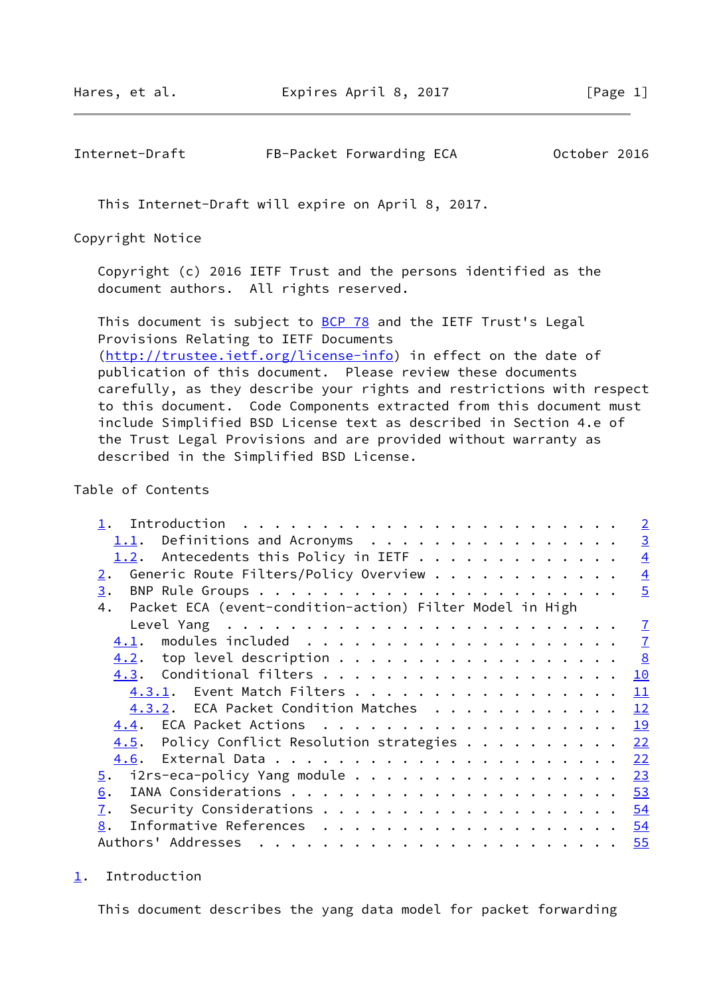Hares, et al. **Expires April 8, 2017** [Page 1]

<span id="page-1-1"></span>Internet-Draft FB-Packet Forwarding ECA 0ctober 2016

This Internet-Draft will expire on April 8, 2017.

Copyright Notice

 Copyright (c) 2016 IETF Trust and the persons identified as the document authors. All rights reserved.

This document is subject to **[BCP 78](https://datatracker.ietf.org/doc/pdf/bcp78)** and the IETF Trust's Legal Provisions Relating to IETF Documents [\(http://trustee.ietf.org/license-info](http://trustee.ietf.org/license-info)) in effect on the date of publication of this document. Please review these documents carefully, as they describe your rights and restrictions with respect to this document. Code Components extracted from this document must include Simplified BSD License text as described in Section 4.e of the Trust Legal Provisions and are provided without warranty as described in the Simplified BSD License.

### Table of Contents

|                                                                | $\overline{2}$                                                                                                                                                                                                                                                                                              |
|----------------------------------------------------------------|-------------------------------------------------------------------------------------------------------------------------------------------------------------------------------------------------------------------------------------------------------------------------------------------------------------|
|                                                                | $\overline{3}$                                                                                                                                                                                                                                                                                              |
|                                                                | $\overline{4}$                                                                                                                                                                                                                                                                                              |
| 2.                                                             | $\overline{4}$                                                                                                                                                                                                                                                                                              |
| 3.                                                             | $\overline{5}$                                                                                                                                                                                                                                                                                              |
| Packet ECA (event-condition-action) Filter Model in High<br>4. |                                                                                                                                                                                                                                                                                                             |
|                                                                | $\overline{1}$                                                                                                                                                                                                                                                                                              |
| 4.1.                                                           | $\overline{1}$                                                                                                                                                                                                                                                                                              |
|                                                                | $\frac{8}{2}$                                                                                                                                                                                                                                                                                               |
|                                                                | 10                                                                                                                                                                                                                                                                                                          |
|                                                                | 11                                                                                                                                                                                                                                                                                                          |
|                                                                | 12                                                                                                                                                                                                                                                                                                          |
|                                                                | 19                                                                                                                                                                                                                                                                                                          |
|                                                                | 22                                                                                                                                                                                                                                                                                                          |
| 4.6.                                                           | 22                                                                                                                                                                                                                                                                                                          |
|                                                                | 23                                                                                                                                                                                                                                                                                                          |
| 6.                                                             | 53                                                                                                                                                                                                                                                                                                          |
| 7.                                                             |                                                                                                                                                                                                                                                                                                             |
| 8.                                                             |                                                                                                                                                                                                                                                                                                             |
|                                                                |                                                                                                                                                                                                                                                                                                             |
|                                                                | $1.1$ . Definitions and Acronyms<br>Generic Route Filters/Policy Overview<br>$4.2.$ top level description<br>4.3.1. Event Match Filters<br>4.3.2. ECA Packet Condition Matches<br>$4.5$ . Policy Conflict Resolution strategies<br>$\frac{5}{2}$ . i2rs-eca-policy Yang module<br>Informative References 54 |

<span id="page-1-0"></span>[1](#page-1-0). Introduction

This document describes the yang data model for packet forwarding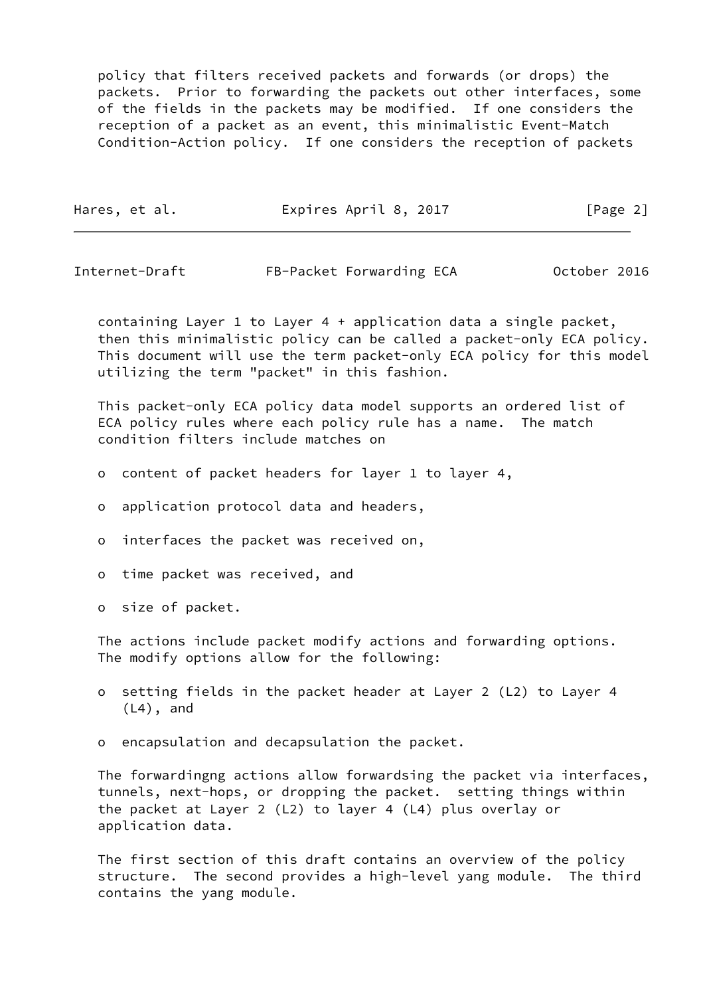policy that filters received packets and forwards (or drops) the packets. Prior to forwarding the packets out other interfaces, some of the fields in the packets may be modified. If one considers the reception of a packet as an event, this minimalistic Event-Match Condition-Action policy. If one considers the reception of packets

| Hares, et al. | Expires April 8, 2017 | [Page 2] |
|---------------|-----------------------|----------|
|               |                       |          |

<span id="page-2-0"></span>Internet-Draft FB-Packet Forwarding ECA October 2016

 containing Layer 1 to Layer 4 + application data a single packet, then this minimalistic policy can be called a packet-only ECA policy. This document will use the term packet-only ECA policy for this model utilizing the term "packet" in this fashion.

 This packet-only ECA policy data model supports an ordered list of ECA policy rules where each policy rule has a name. The match condition filters include matches on

- o content of packet headers for layer 1 to layer 4,
- o application protocol data and headers,
- o interfaces the packet was received on,
- o time packet was received, and
- o size of packet.

 The actions include packet modify actions and forwarding options. The modify options allow for the following:

- o setting fields in the packet header at Layer 2 (L2) to Layer 4 (L4), and
- o encapsulation and decapsulation the packet.

 The forwardingng actions allow forwardsing the packet via interfaces, tunnels, next-hops, or dropping the packet. setting things within the packet at Layer 2 (L2) to layer 4 (L4) plus overlay or application data.

 The first section of this draft contains an overview of the policy structure. The second provides a high-level yang module. The third contains the yang module.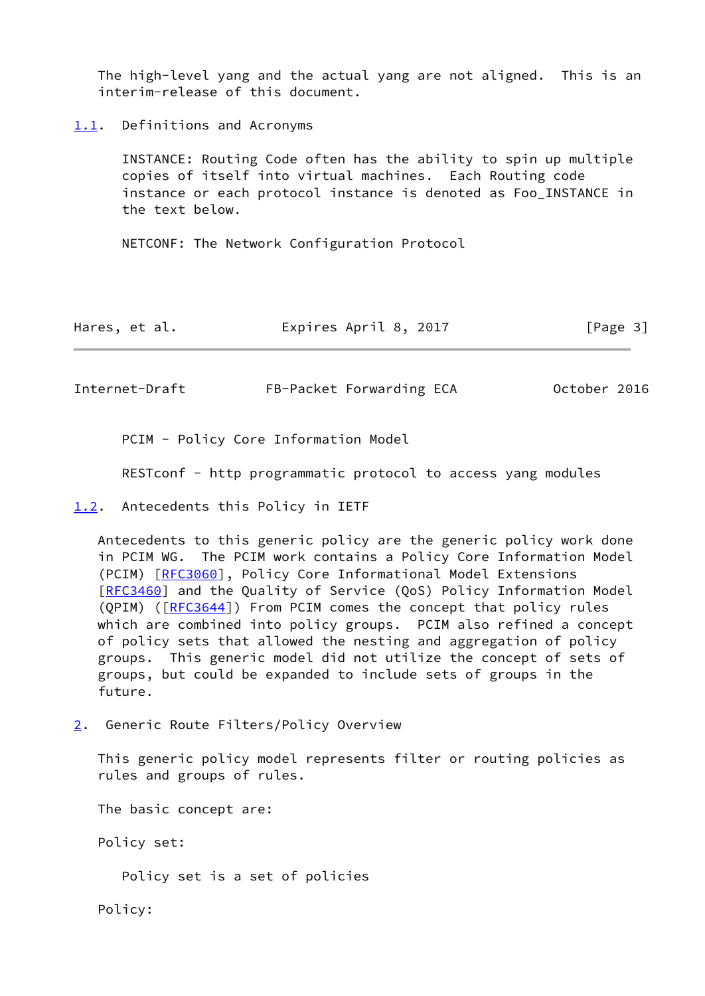The high-level yang and the actual yang are not aligned. This is an interim-release of this document.

<span id="page-3-0"></span>[1.1](#page-3-0). Definitions and Acronyms

 INSTANCE: Routing Code often has the ability to spin up multiple copies of itself into virtual machines. Each Routing code instance or each protocol instance is denoted as Foo\_INSTANCE in the text below.

NETCONF: The Network Configuration Protocol

| Hares, et al. | Expires April 8, 2017 | [Page 3] |
|---------------|-----------------------|----------|
|---------------|-----------------------|----------|

<span id="page-3-2"></span>Internet-Draft FB-Packet Forwarding ECA 0ctober 2016

PCIM - Policy Core Information Model

RESTconf - http programmatic protocol to access yang modules

<span id="page-3-1"></span>[1.2](#page-3-1). Antecedents this Policy in IETF

 Antecedents to this generic policy are the generic policy work done in PCIM WG. The PCIM work contains a Policy Core Information Model (PCIM) [\[RFC3060](https://datatracker.ietf.org/doc/pdf/rfc3060)], Policy Core Informational Model Extensions [\[RFC3460](https://datatracker.ietf.org/doc/pdf/rfc3460)] and the Quality of Service (QoS) Policy Information Model (QPIM) ([\[RFC3644](https://datatracker.ietf.org/doc/pdf/rfc3644)]) From PCIM comes the concept that policy rules which are combined into policy groups. PCIM also refined a concept of policy sets that allowed the nesting and aggregation of policy groups. This generic model did not utilize the concept of sets of groups, but could be expanded to include sets of groups in the future.

<span id="page-3-3"></span>[2](#page-3-3). Generic Route Filters/Policy Overview

 This generic policy model represents filter or routing policies as rules and groups of rules.

The basic concept are:

Policy set:

Policy set is a set of policies

Policy: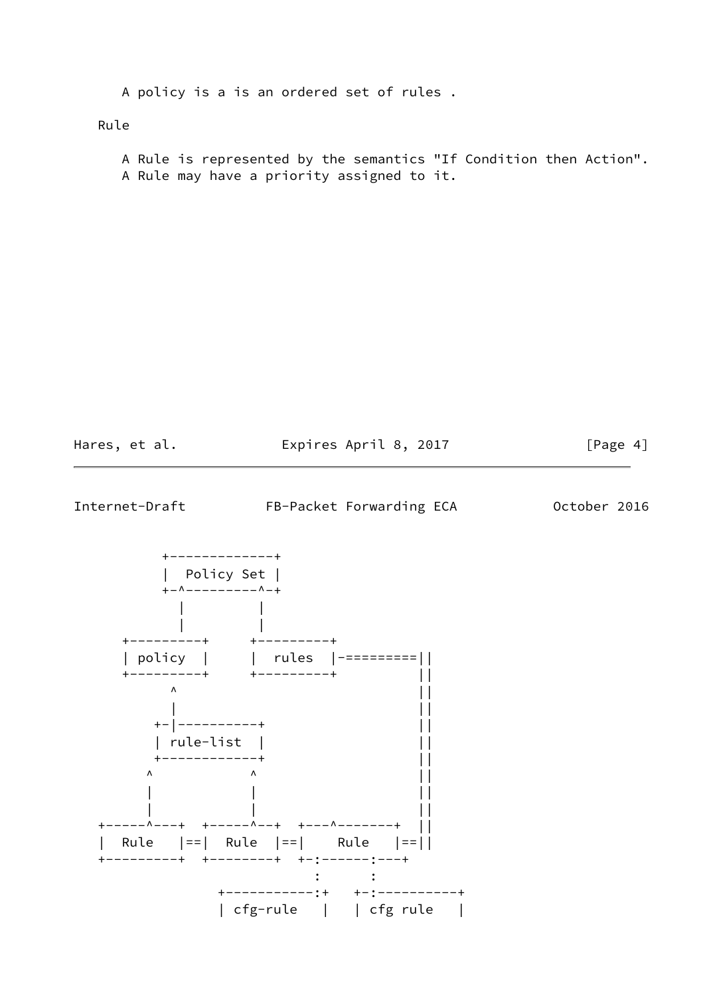A policy is a is an ordered set of rules .

Rule

 A Rule is represented by the semantics "If Condition then Action". A Rule may have a priority assigned to it.

Hares, et al. **Expires April 8, 2017** [Page 4]

<span id="page-4-0"></span>Internet-Draft FB-Packet Forwarding ECA 0ctober 2016

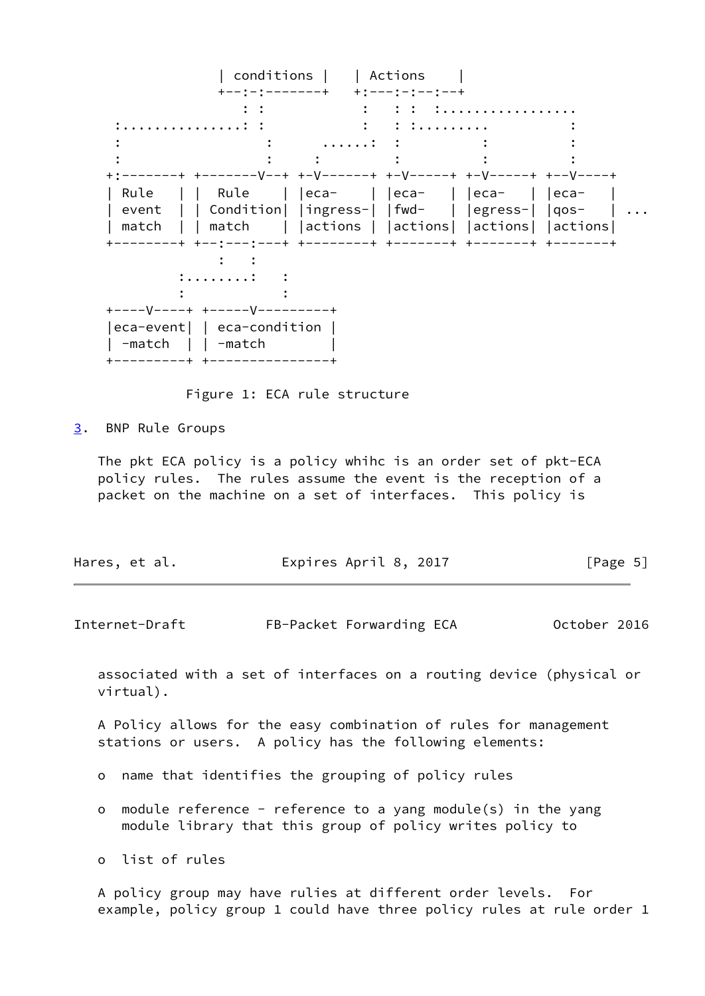| conditions | | Actions | +--:-:-------+ +:---:-:--:--+ : : : : : :................. :...............: : : : :......... : : : ......: : : :  $\mathbf{r} = \mathbf{r} \cdot \mathbf{r}$  :  $\mathbf{r} = \mathbf{r} \cdot \mathbf{r}$  :  $\mathbf{r} = \mathbf{r} \cdot \mathbf{r}$  :  $\mathbf{r} = \mathbf{r} \cdot \mathbf{r}$  :  $\mathbf{r} = \mathbf{r} \cdot \mathbf{r}$  +:-------+ +-------V--+ +-V------+ +-V-----+ +-V-----+ +--V----+ | Rule | | Rule | |eca- | |eca- | |eca- | |eca- | | event | | Condition| |ingress-| |fwd- | |egress-| |qos- | ... | match | | match | |actions | |actions| |actions| |actions| +--------+ +--:---:---+ +--------+ +-------+ +-------+ +-------+ : : :........: :  $\mathbf{z} = \mathbf{z} \cdot \mathbf{z}$  :  $\mathbf{z} = \mathbf{z} \cdot \mathbf{z}$  :  $\mathbf{z} = \mathbf{z} \cdot \mathbf{z}$  +----V----+ +-----V---------+ |eca-event| | eca-condition | | -match | | -match | +---------+ +---------------+

Figure 1: ECA rule structure

<span id="page-5-0"></span>[3](#page-5-0). BNP Rule Groups

 The pkt ECA policy is a policy whihc is an order set of pkt-ECA policy rules. The rules assume the event is the reception of a packet on the machine on a set of interfaces. This policy is

| Expires April 8, 2017<br>Hares, et al. | [Page 5] |
|----------------------------------------|----------|
|----------------------------------------|----------|

Internet-Draft FB-Packet Forwarding ECA October 2016

 associated with a set of interfaces on a routing device (physical or virtual).

 A Policy allows for the easy combination of rules for management stations or users. A policy has the following elements:

- o name that identifies the grouping of policy rules
- o module reference reference to a yang module(s) in the yang module library that this group of policy writes policy to

o list of rules

 A policy group may have rulies at different order levels. For example, policy group 1 could have three policy rules at rule order 1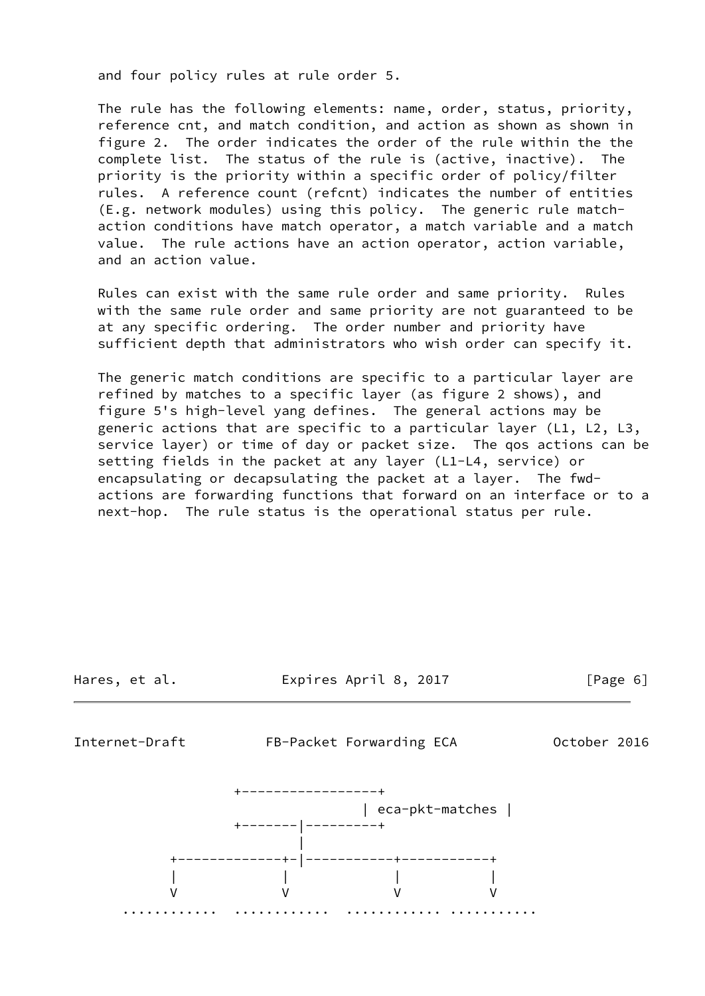and four policy rules at rule order 5.

 The rule has the following elements: name, order, status, priority, reference cnt, and match condition, and action as shown as shown in figure 2. The order indicates the order of the rule within the the complete list. The status of the rule is (active, inactive). The priority is the priority within a specific order of policy/filter rules. A reference count (refcnt) indicates the number of entities (E.g. network modules) using this policy. The generic rule match action conditions have match operator, a match variable and a match value. The rule actions have an action operator, action variable, and an action value.

 Rules can exist with the same rule order and same priority. Rules with the same rule order and same priority are not guaranteed to be at any specific ordering. The order number and priority have sufficient depth that administrators who wish order can specify it.

 The generic match conditions are specific to a particular layer are refined by matches to a specific layer (as figure 2 shows), and figure 5's high-level yang defines. The general actions may be generic actions that are specific to a particular layer (L1, L2, L3, service layer) or time of day or packet size. The qos actions can be setting fields in the packet at any layer (L1-L4, service) or encapsulating or decapsulating the packet at a layer. The fwd actions are forwarding functions that forward on an interface or to a next-hop. The rule status is the operational status per rule.

<span id="page-6-0"></span>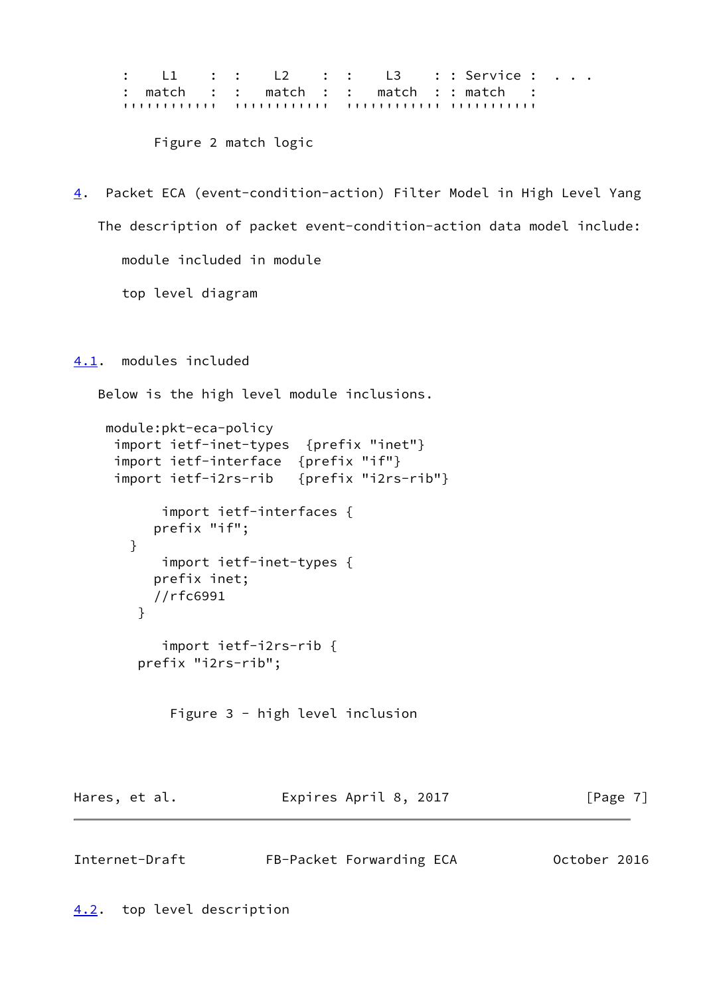: L1 : : L2 : : L3 : : Service : . . . : match : : match : : match : : match : '''''''''''' '''''''''''' '''''''''''' '''''''''''

Figure 2 match logic

<span id="page-7-3"></span>[4](#page-7-3). Packet ECA (event-condition-action) Filter Model in High Level Yang The description of packet event-condition-action data model include: module included in module top level diagram

<span id="page-7-0"></span>[4.1](#page-7-0). modules included

Below is the high level module inclusions.

```
 module:pkt-eca-policy
  import ietf-inet-types {prefix "inet"}
  import ietf-interface {prefix "if"}
  import ietf-i2rs-rib {prefix "i2rs-rib"}
        import ietf-interfaces {
       prefix "if";
    }
        import ietf-inet-types {
       prefix inet;
       //rfc6991
     }
        import ietf-i2rs-rib {
     prefix "i2rs-rib";
         Figure 3 - high level inclusion
```
<span id="page-7-2"></span><span id="page-7-1"></span>Internet-Draft FB-Packet Forwarding ECA October 2016

Hares, et al. **Expires April 8, 2017** [Page 7]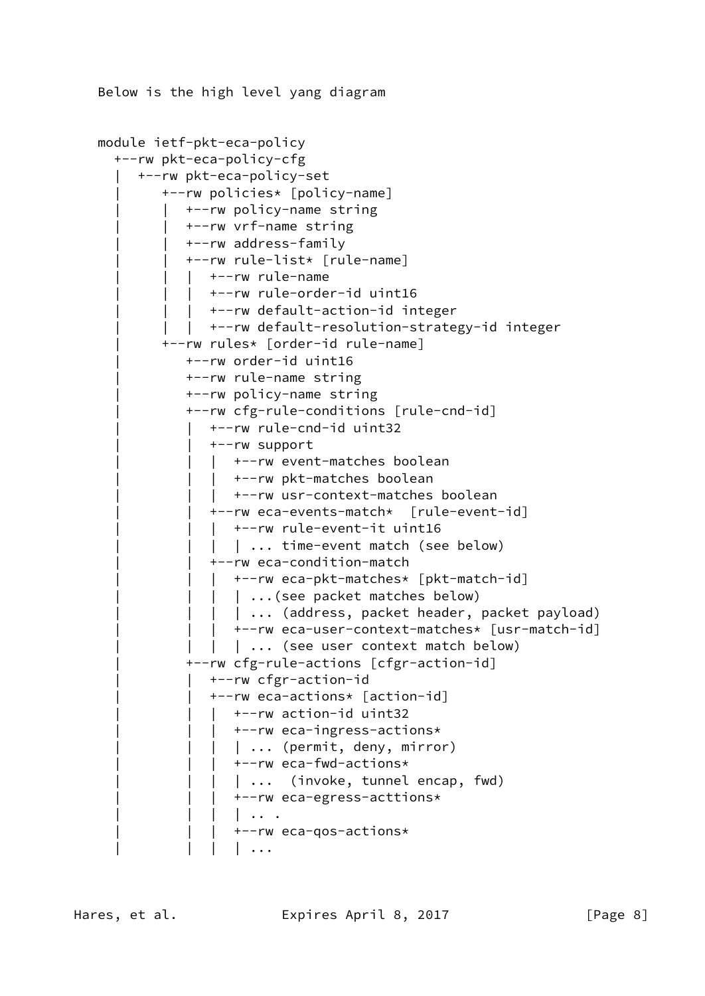```
 Below is the high level yang diagram
```

```
 module ietf-pkt-eca-policy
   +--rw pkt-eca-policy-cfg
      | +--rw pkt-eca-policy-set
          | +--rw policies* [policy-name]
             | | +--rw policy-name string
             | | +--rw vrf-name string
             | | +--rw address-family
             | | +--rw rule-list* [rule-name]
            | +--rw rule-name
             | +--rw rule-order-id uint16
               | | | +--rw default-action-id integer
           | +--rw default-resolution-strategy-id integer
          | +--rw rules* [order-id rule-name]
             | +--rw order-id uint16
             | +--rw rule-name string
             | +--rw policy-name string
             | +--rw cfg-rule-conditions [rule-cnd-id]
                 | | +--rw rule-cnd-id uint32
                 | | +--rw support
                | +--rw event-matches boolean
                   | | | +--rw pkt-matches boolean
                   | | | +--rw usr-context-matches boolean
                 | | +--rw eca-events-match* [rule-event-id]
                  | | | +--rw rule-event-it uint16
                  | ... time-event match (see below)
                | | +--rw eca-condition-match
                | +--rw eca-pkt-matches* [pkt-match-id]
                | | ...(see packet matches below)
                | | ... (address, packet header, packet payload)
                   | | | +--rw eca-user-context-matches* [usr-match-id]
                | | ... (see user context match below)
             | +--rw cfg-rule-actions [cfgr-action-id]
                 | | +--rw cfgr-action-id
                 | | +--rw eca-actions* [action-id]
                | +--rw action-id uint32
                   | | | +--rw eca-ingress-actions*
                | | ... (permit, deny, mirror)
                   | | | +--rw eca-fwd-actions*
                  | ... (invoke, tunnel encap, fwd)
                    | | | +--rw eca-egress-acttions*
                    | | | | .. .
                    | | | +--rw eca-qos-actions*
                   | \cdot \cdot \cdot \cdot |
```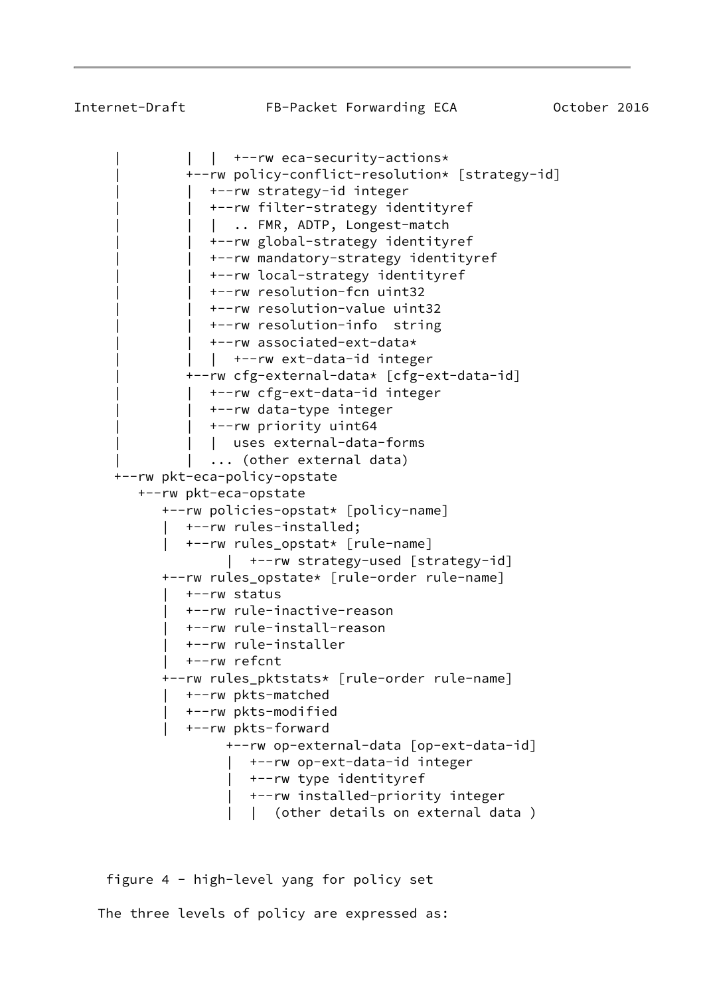$|$  +--rw eca-security-actions\* | +--rw policy-conflict-resolution\* [strategy-id] | | +--rw strategy-id integer | +--rw filter-strategy identityref | .. FMR, ADTP, Longest-match | | +--rw global-strategy identityref | | +--rw mandatory-strategy identityref | | +--rw local-strategy identityref | | +--rw resolution-fcn uint32 | | +--rw resolution-value uint32 | | +--rw resolution-info string | | +--rw associated-ext-data\* | +--rw ext-data-id integer | +--rw cfg-external-data\* [cfg-ext-data-id] | | +--rw cfg-ext-data-id integer | | +--rw data-type integer | | +--rw priority uint64 | uses external-data-forms ... (other external data) +--rw pkt-eca-policy-opstate +--rw pkt-eca-opstate +--rw policies-opstat\* [policy-name] | +--rw rules-installed; | +--rw rules\_opstat\* [rule-name] | +--rw strategy-used [strategy-id] +--rw rules\_opstate\* [rule-order rule-name] | +--rw status | +--rw rule-inactive-reason | +--rw rule-install-reason | +--rw rule-installer | +--rw refcnt +--rw rules\_pktstats\* [rule-order rule-name] | +--rw pkts-matched | +--rw pkts-modified | +--rw pkts-forward +--rw op-external-data [op-ext-data-id] | +--rw op-ext-data-id integer | +--rw type identityref | +--rw installed-priority integer | | (other details on external data )

 figure 4 - high-level yang for policy set The three levels of policy are expressed as: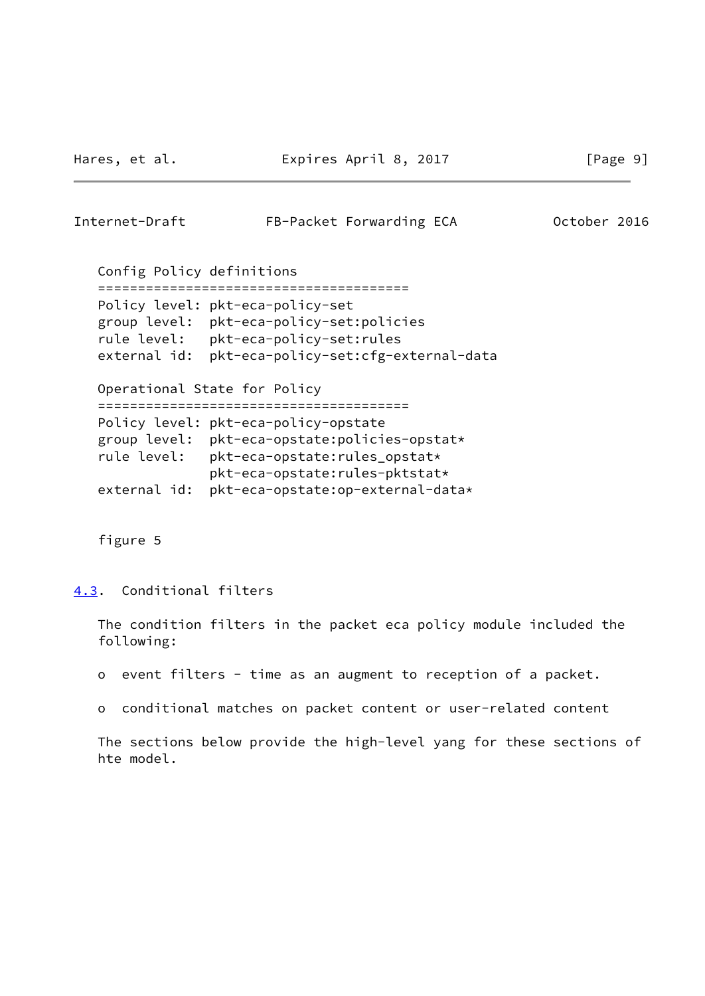<span id="page-10-1"></span>

| Internet-Draft            | FB-Packet Forwarding ECA                                                                                                                                                                                                                         | October 2016 |
|---------------------------|--------------------------------------------------------------------------------------------------------------------------------------------------------------------------------------------------------------------------------------------------|--------------|
| Config Policy definitions |                                                                                                                                                                                                                                                  |              |
| external id:              | Policy level: pkt-eca-policy-set<br>group level: pkt-eca-policy-set:policies<br>rule level: pkt-eca-policy-set:rules<br>pkt-eca-policy-set:cfg-external-data<br>Operational State for Policy                                                     |              |
| external id:              | ==================================<br>Policy level: pkt-eca-policy-opstate<br>group level: pkt-eca-opstate:policies-opstat*<br>rule level: pkt-eca-opstate: rules_opstat*<br>pkt-eca-opstate:rules-pktstat*<br>pkt-eca-opstate:op-external-data* |              |

figure 5

<span id="page-10-0"></span>[4.3](#page-10-0). Conditional filters

 The condition filters in the packet eca policy module included the following:

- o event filters time as an augment to reception of a packet.
- o conditional matches on packet content or user-related content

 The sections below provide the high-level yang for these sections of hte model.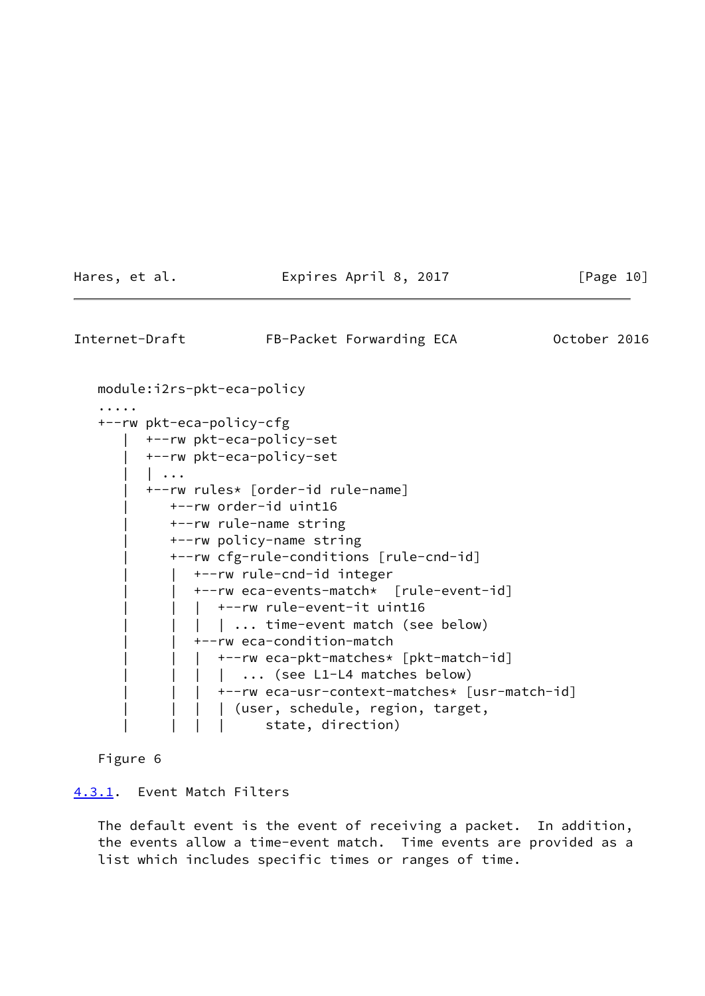Hares, et al. **Expires April 8, 2017** [Page 10]

<span id="page-11-1"></span>Internet-Draft FB-Packet Forwarding ECA 0ctober 2016 module:i2rs-pkt-eca-policy ..... +--rw pkt-eca-policy-cfg | +--rw pkt-eca-policy-set | +--rw pkt-eca-policy-set | | ... | +--rw rules\* [order-id rule-name] | +--rw order-id uint16 | +--rw rule-name string | +--rw policy-name string | +--rw cfg-rule-conditions [rule-cnd-id] | | +--rw rule-cnd-id integer | | +--rw eca-events-match\* [rule-event-id] | +--rw rule-event-it uint16 | | ... time-event match (see below) | | +--rw eca-condition-match | +--rw eca-pkt-matches\* [pkt-match-id] | | ... (see L1-L4 matches below) | | | +--rw eca-usr-context-matches\* [usr-match-id] | | | | (user, schedule, region, target, | state, direction)

Figure 6

### <span id="page-11-0"></span>[4.3.1](#page-11-0). Event Match Filters

 The default event is the event of receiving a packet. In addition, the events allow a time-event match. Time events are provided as a list which includes specific times or ranges of time.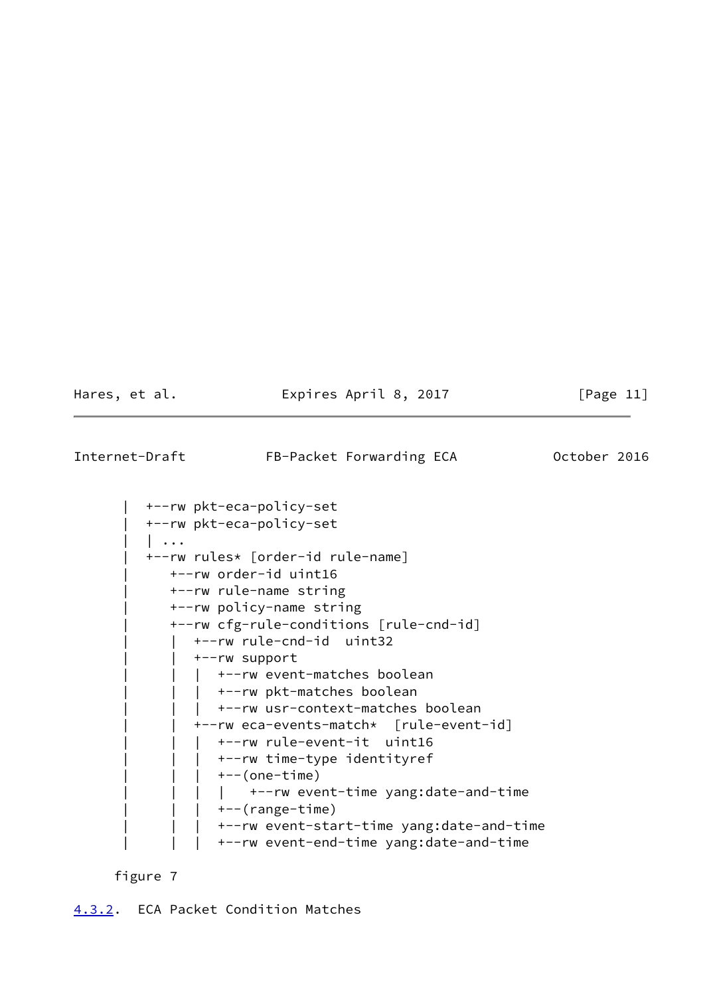Hares, et al. **Expires April 8, 2017** [Page 11]

<span id="page-12-1"></span>Internet-Draft FB-Packet Forwarding ECA 0ctober 2016

```
 | +--rw pkt-eca-policy-set
 | +--rw pkt-eca-policy-set
| \cdot \cdot \cdot | | +--rw rules* [order-id rule-name]
    | +--rw order-id uint16
    | +--rw rule-name string
    | +--rw policy-name string
    | +--rw cfg-rule-conditions [rule-cnd-id]
       | | +--rw rule-cnd-id uint32
       | | +--rw support
      | +--rw event-matches boolean
       | +--rw pkt-matches boolean
      | +--rw usr-context-matches boolean
       | | +--rw eca-events-match* [rule-event-id]
         | | | +--rw rule-event-it uint16
      | +--rw time-type identityref
      | +--(one-time)
        | | | | +--rw event-time yang:date-and-time
      | +--(range-time)
         | | | +--rw event-start-time yang:date-and-time
         | | | +--rw event-end-time yang:date-and-time
```
<span id="page-12-0"></span>figure 7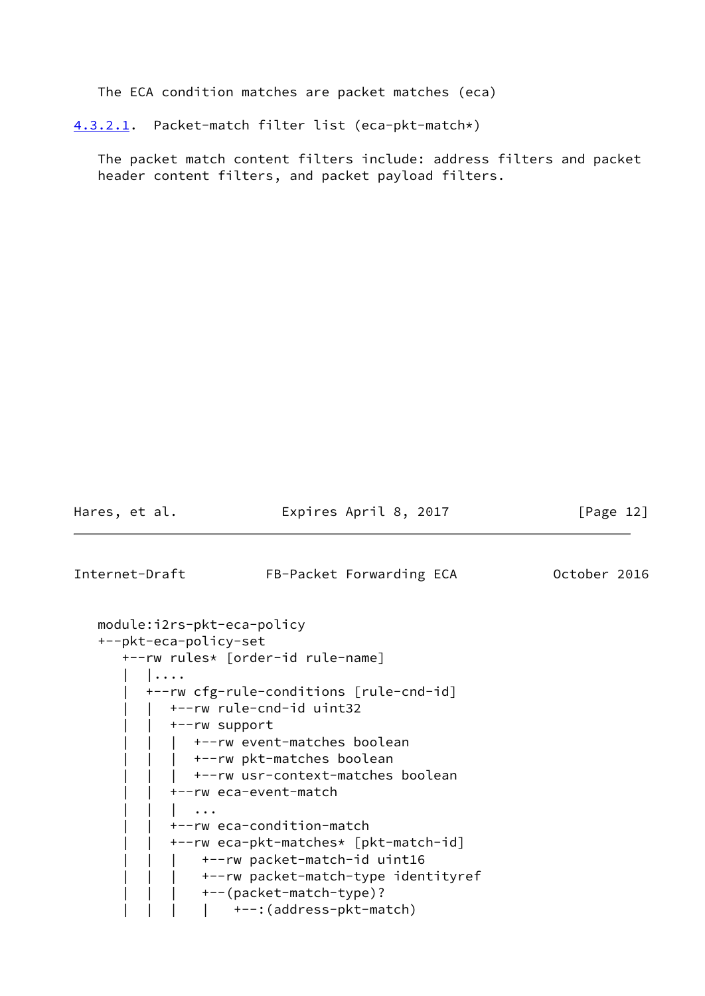The ECA condition matches are packet matches (eca)

<span id="page-13-0"></span>[4.3.2.1](#page-13-0). Packet-match filter list (eca-pkt-match\*)

 The packet match content filters include: address filters and packet header content filters, and packet payload filters.

Hares, et al. **Expires April 8, 2017** [Page 12]

Internet-Draft FB-Packet Forwarding ECA 0ctober 2016

```
 module:i2rs-pkt-eca-policy
 +--pkt-eca-policy-set
    +--rw rules* [order-id rule-name]
      | |....
       | +--rw cfg-rule-conditions [rule-cnd-id]
         | | +--rw rule-cnd-id uint32
         | | +--rw support
             | | | +--rw event-matches boolean
            +--rw pkt-matches boolean
          | +-rw usr-context-matches boolean
           | | +--rw eca-event-match
           | | | ...
          | | +--rw eca-condition-match
          | | +--rw eca-pkt-matches* [pkt-match-id]
         | | | +--rw packet-match-id uint16
               | | | +--rw packet-match-type identityref
               | | | +--(packet-match-type)?
              | +--:(address-pkt-match)
```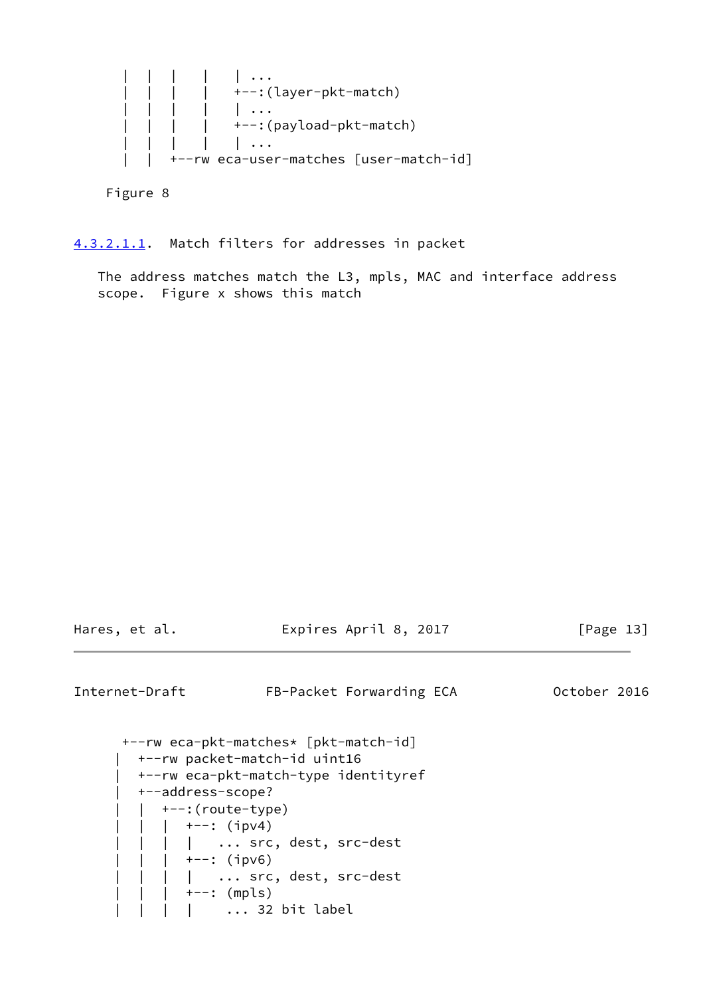| | | | | ... | | | | +--:(layer-pkt-match) | | | | | ... | | | | +--:(payload-pkt-match) | | | | | ... | | +--rw eca-user-matches [user-match-id]

Figure 8

<span id="page-14-0"></span>[4.3.2.1.1](#page-14-0). Match filters for addresses in packet

 The address matches match the L3, mpls, MAC and interface address scope. Figure x shows this match

| Hares. | et al. |  |
|--------|--------|--|
|        |        |  |

Expires April 8, 2017 [Page 13]

Internet-Draft FB-Packet Forwarding ECA 0ctober 2016

 +--rw eca-pkt-matches\* [pkt-match-id] | +--rw packet-match-id uint16 | +--rw eca-pkt-match-type identityref | +--address-scope? | | +--:(route-type) |  $| |$  +--: (ipv4) | ... src, dest, src-dest |  $| |$  +--: (ipv6) | ... src, dest, src-dest +--: (mpls) | ... 32 bit label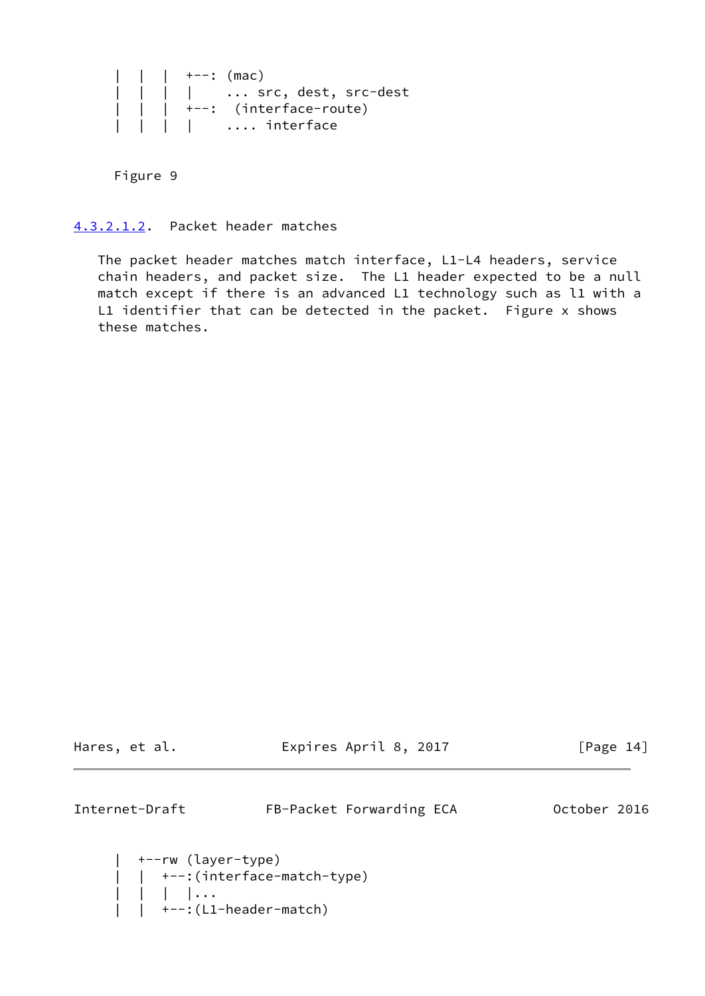```
| +--: (mac)
 | | | | ... src, dest, src-dest
 | | | +--: (interface-route)
 | | | | .... interface
```
Figure 9

<span id="page-15-0"></span>[4.3.2.1.2](#page-15-0). Packet header matches

 The packet header matches match interface, L1-L4 headers, service chain headers, and packet size. The L1 header expected to be a null match except if there is an advanced L1 technology such as l1 with a L1 identifier that can be detected in the packet. Figure x shows these matches.

Hares, et al. **Expires April 8, 2017** [Page 14]

Internet-Draft FB-Packet Forwarding ECA 0ctober 2016

```
 | +--rw (layer-type)
     | | +--:(interface-match-type)
 | | | |...
 | | +--:(L1-header-match)
```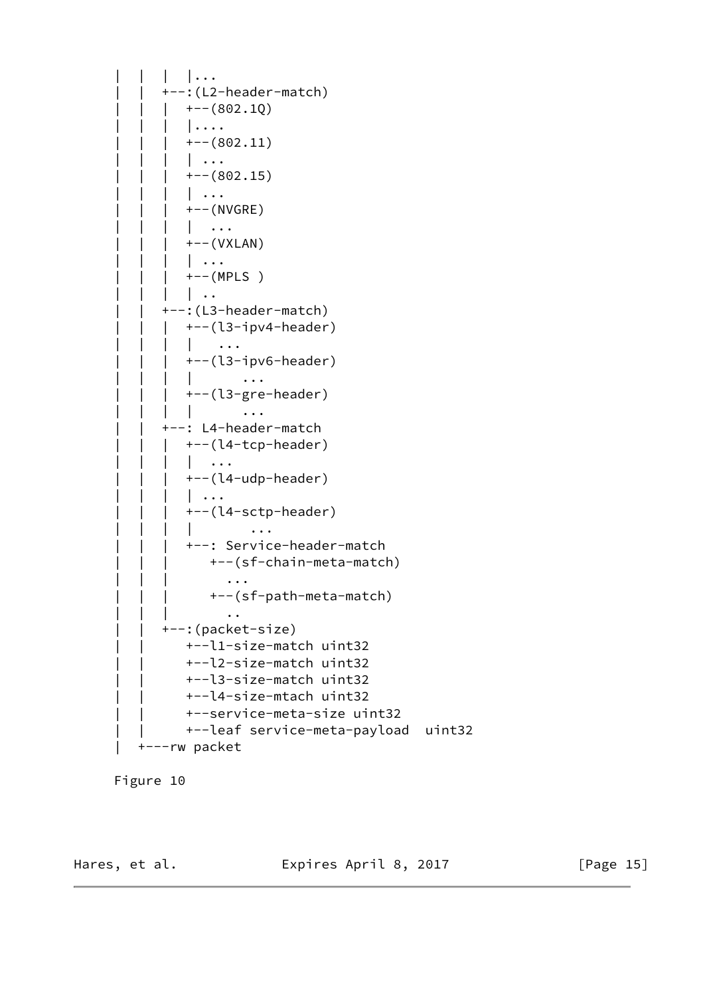```
 | | | |...
              +--: (L2-header-match)
                 +--(802.1Q)| \ldots+--(802.11)| \cdot \cdot \cdot |+--(802.15) | | | | ...
                  | | | +--(NVGRE)
                  | \cdot | ...
                  | | | +--(VXLAN)
                 | \cdot \cdot \cdot |+--(MPLS)| \cdot |.
               | | +--:(L3-header-match)
                 | | | +--(l3-ipv4-header)
                  | \cdot | ...
                  | | | +--(l3-ipv6-header)
                  | \cdots | | | +--(l3-gre-header)
                  | | | | ...
              +--: L4-header-match
                 | | | +--(l4-tcp-header)
                  | | | | ...
                 +--(l4-udp-header)
                 | \cdot \cdot \cdot | | | | +--(l4-sctp-header)
                            \ldots | | | +--: Service-header-match
                     | | | +--(sf-chain-meta-match)
 | | | ...
                      | | | +--(sf-path-meta-match)
 | | | ..
              | | +--:(packet-size)
                  | | +--l1-size-match uint32
                  | | +--l2-size-match uint32
                  | | +--l3-size-match uint32
                  | | +--l4-size-mtach uint32
                  | | +--service-meta-size uint32
                  | | +--leaf service-meta-payload uint32
           | +---rw packet
```


Hares, et al. **Expires April 8, 2017** [Page 15]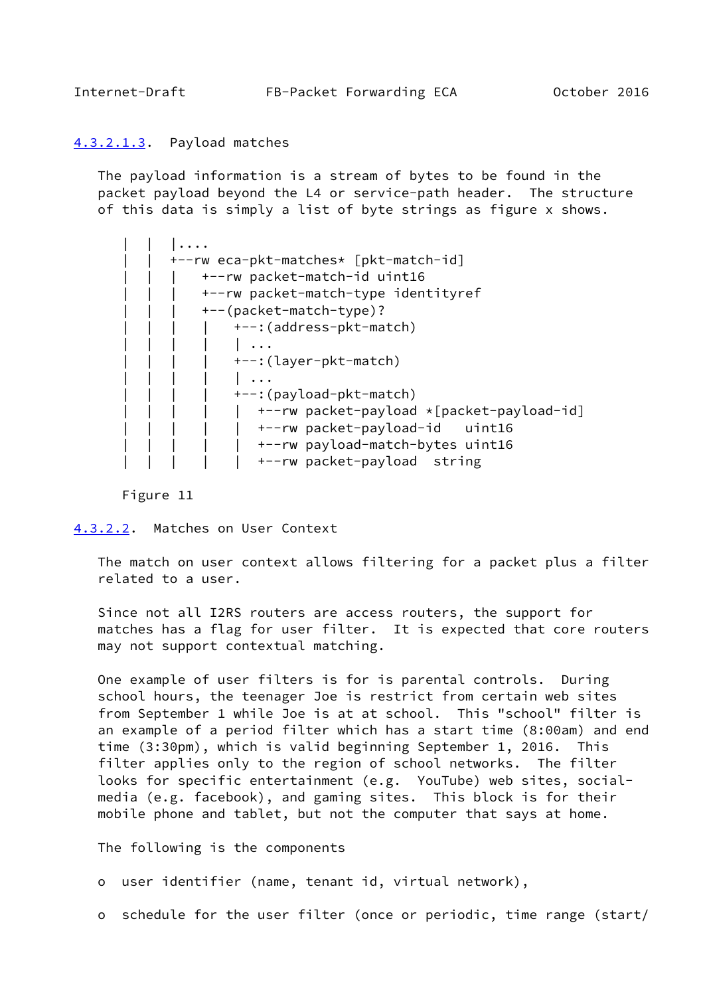## <span id="page-17-0"></span>[4.3.2.1.3](#page-17-0). Payload matches

 The payload information is a stream of bytes to be found in the packet payload beyond the L4 or service-path header. The structure of this data is simply a list of byte strings as figure x shows.

| +--rw eca-pkt-matches* [pkt-match-id]     |
|-------------------------------------------|
| +--rw packet-match-id uint16              |
| +--rw packet-match-type identityref       |
| +--(packet-match-type)?                   |
| +--: (address-pkt-match)                  |
|                                           |
| +--: (layer-pkt-match)                    |
|                                           |
| +--: (payload-pkt-match)                  |
| +--rw packet-payload *[packet-payload-id] |
| +--rw packet-payload-id<br>uint16         |
| +--rw payload-match-bytes uint16          |
| +--rw packet-payload string               |

Figure 11

<span id="page-17-1"></span>[4.3.2.2](#page-17-1). Matches on User Context

 The match on user context allows filtering for a packet plus a filter related to a user.

 Since not all I2RS routers are access routers, the support for matches has a flag for user filter. It is expected that core routers may not support contextual matching.

 One example of user filters is for is parental controls. During school hours, the teenager Joe is restrict from certain web sites from September 1 while Joe is at at school. This "school" filter is an example of a period filter which has a start time (8:00am) and end time (3:30pm), which is valid beginning September 1, 2016. This filter applies only to the region of school networks. The filter looks for specific entertainment (e.g. YouTube) web sites, social media (e.g. facebook), and gaming sites. This block is for their mobile phone and tablet, but not the computer that says at home.

The following is the components

o user identifier (name, tenant id, virtual network),

o schedule for the user filter (once or periodic, time range (start/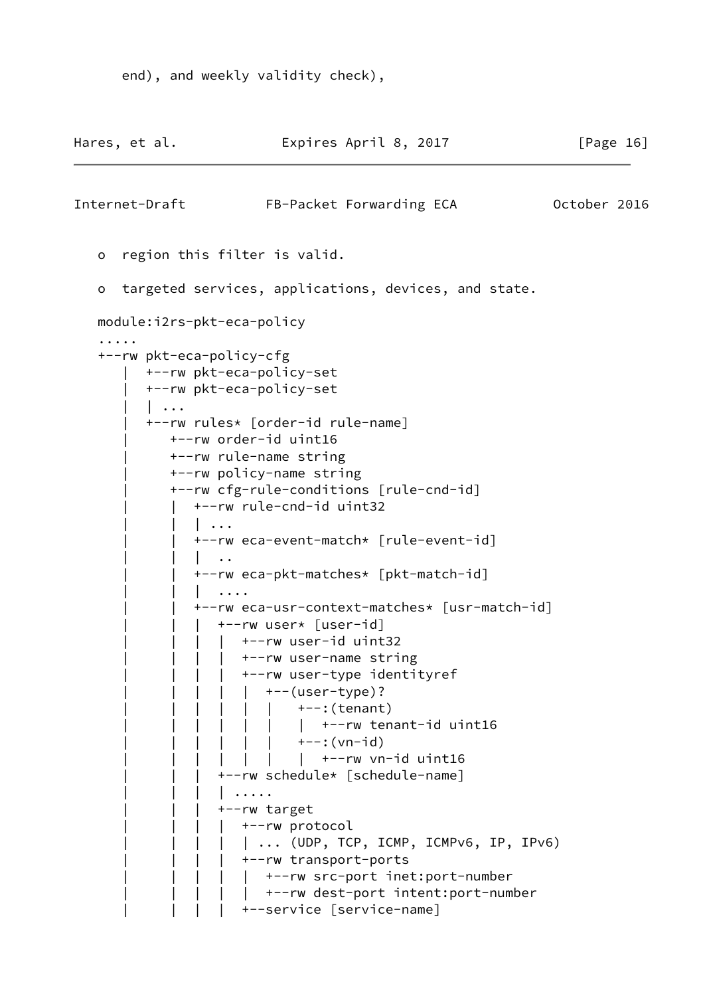```
 end), and weekly validity check),
```

```
Hares, et al. Expires April 8, 2017 [Page 16]
Internet-Draft FB-Packet Forwarding ECA 0ctober 2016
    o region this filter is valid.
    o targeted services, applications, devices, and state.
    module:i2rs-pkt-eca-policy
 .....
    +--rw pkt-eca-policy-cfg
         | +--rw pkt-eca-policy-set
          | +--rw pkt-eca-policy-set
          | | ...
          | +--rw rules* [order-id rule-name]
             | +--rw order-id uint16
              | +--rw rule-name string
              | +--rw policy-name string
              | +--rw cfg-rule-conditions [rule-cnd-id]
                 | | +--rw rule-cnd-id uint32
                | \cdot \cdot \cdot | | +--rw eca-event-match* [rule-event-id]
                | \cdot | ...
                 | | +--rw eca-pkt-matches* [pkt-match-id]
                | \cdot \cdot \cdot \cdot | | | +--rw eca-usr-context-matches* [usr-match-id]
                | +--rw user* [user-id]\vert \vert +--rw user-id uint32
                   | +--rw user-name string
                   | +--rw user-type identityref
                   \vert \vert +--(user-type)?
                     | | | +--: (tenant)
                             | +--rw tenant-id uint16
                     | | +--:(vn-id)
                 | | | | | | | +--rw vn-id uint16
                   | | | +--rw schedule* [schedule-name]
                   | | | | .....
                    | | | +--rw target
                   | +--rw protocol
                   | | | | | ... (UDP, TCP, ICMP, ICMPv6, IP, IPv6)
                  | +--rw transport-ports
                       | | | | | +--rw src-port inet:port-number
                     | +--rw dest-port intent:port-number
                       | | | | +--service [service-name]
```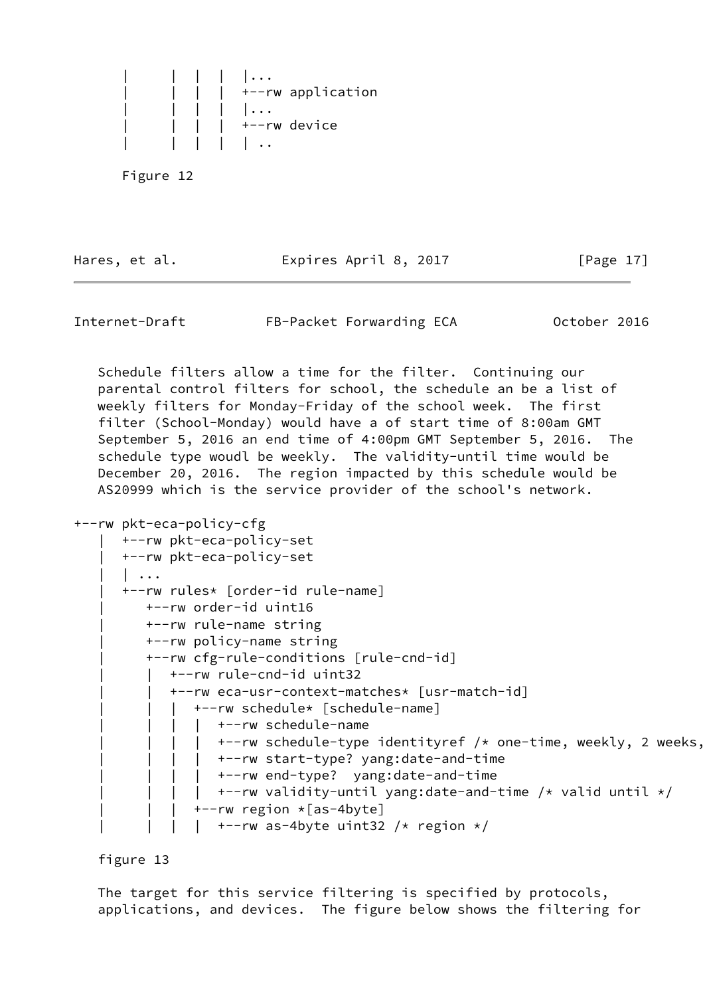

Hares, et al. **Expires April 8, 2017** [Page 17]

Internet-Draft FB-Packet Forwarding ECA 0ctober 2016

 Schedule filters allow a time for the filter. Continuing our parental control filters for school, the schedule an be a list of weekly filters for Monday-Friday of the school week. The first filter (School-Monday) would have a of start time of 8:00am GMT September 5, 2016 an end time of 4:00pm GMT September 5, 2016. The schedule type woudl be weekly. The validity-until time would be December 20, 2016. The region impacted by this schedule would be AS20999 which is the service provider of the school's network.

```
+--rw pkt-eca-policy-cfg
```

```
 | +--rw pkt-eca-policy-set
 | +--rw pkt-eca-policy-set
| \cdot \cdot \cdot | | +--rw rules* [order-id rule-name]
    | +--rw order-id uint16
    | +--rw rule-name string
    | +--rw policy-name string
    | +--rw cfg-rule-conditions [rule-cnd-id]
    | | +--rw rule-cnd-id uint32
       | | +--rw eca-usr-context-matches* [usr-match-id]
       | +--rw schedule* [schedule-name]
          | +--rw schedule-name
          | +--rw schedule-type identityref /* one-time, weekly, 2 weeks,
        | | | | +--rw start-type? yang:date-and-time
        | | | | +--rw end-type? yang:date-and-time
          | +--rw validity-until yang:date-and-time /* valid until */
           | | | +--rw region *[as-4byte]
            +--rw as-4byte uint32 /* region */
```
figure 13

 The target for this service filtering is specified by protocols, applications, and devices. The figure below shows the filtering for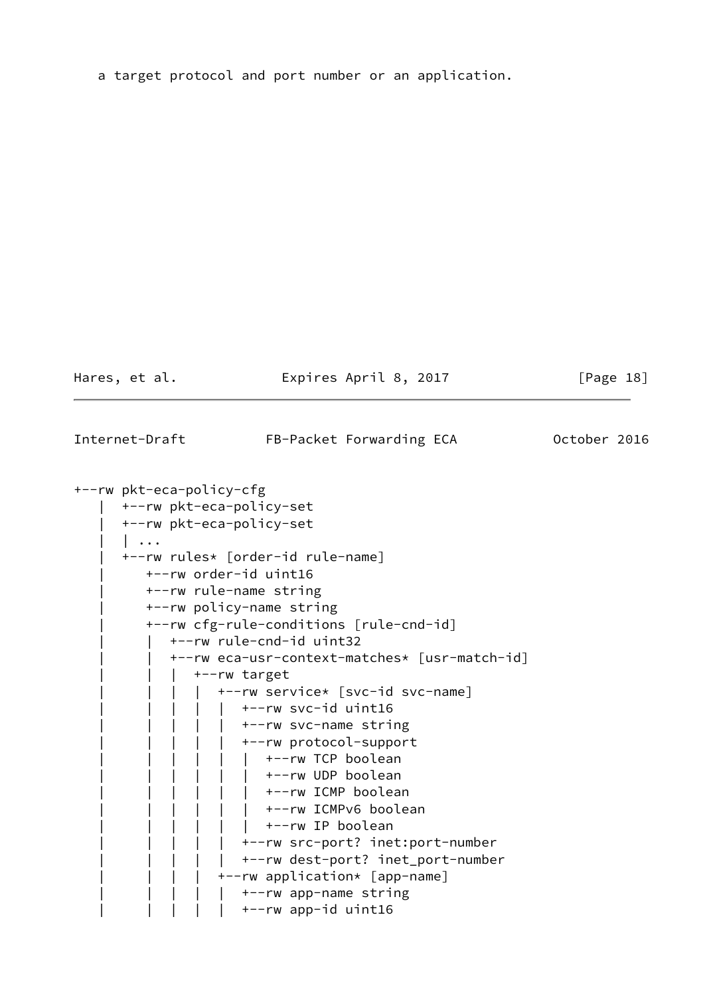a target protocol and port number or an application.

Hares, et al. **Expires April 8, 2017** [Page 18]

<span id="page-20-0"></span>Internet-Draft FB-Packet Forwarding ECA 0ctober 2016

+--rw pkt-eca-policy-cfg | +--rw pkt-eca-policy-set | +--rw pkt-eca-policy-set | | ... | +--rw rules\* [order-id rule-name] | +--rw order-id uint16 | +--rw rule-name string | +--rw policy-name string | +--rw cfg-rule-conditions [rule-cnd-id] | | +--rw rule-cnd-id uint32 | | +--rw eca-usr-context-matches\* [usr-match-id] | +--rw target | | | | +--rw service\* [svc-id svc-name]  $\vert \vert \vert$   $\vert$  +--rw svc-id uint16  $\vert \vert$   $\vert$  +--rw svc-name string | | | | | +--rw protocol-support | | | | | | +--rw TCP boolean | +--rw UDP boolean | | | +--rw ICMP boolean | | | | +--rw ICMPv6 boolean | | | | +--rw IP boolean | | | | | +--rw src-port? inet:port-number | | +--rw dest-port? inet\_port-number | | | | +--rw application\* [app-name]  $|$  +--rw app-name string | | | | | +--rw app-id uint16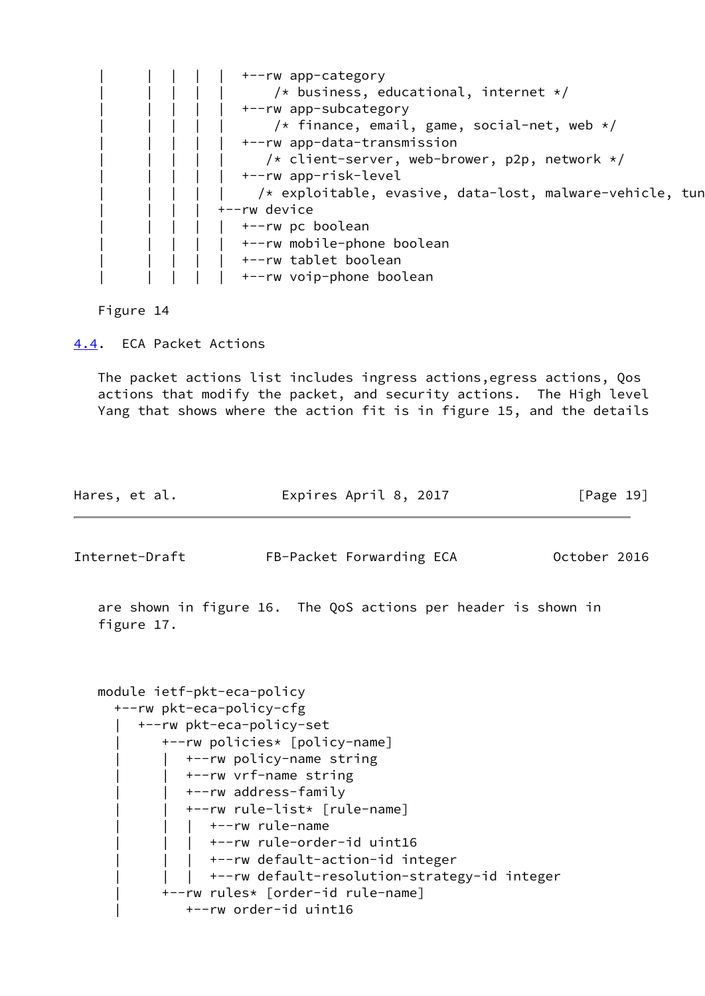

Figure 14

<span id="page-21-0"></span>[4.4](#page-21-0). ECA Packet Actions

 The packet actions list includes ingress actions,egress actions, Qos actions that modify the packet, and security actions. The High level Yang that shows where the action fit is in figure 15, and the details

| Hares, et al. | Expires April 8, 2017 | [Page 19] |
|---------------|-----------------------|-----------|
|               |                       |           |

Internet-Draft FB-Packet Forwarding ECA October 2016

 are shown in figure 16. The QoS actions per header is shown in figure 17.

```
 module ietf-pkt-eca-policy
   +--rw pkt-eca-policy-cfg
      | +--rw pkt-eca-policy-set
          | +--rw policies* [policy-name]
             | | +--rw policy-name string
             | | +--rw vrf-name string
             | | +--rw address-family
             | | +--rw rule-list* [rule-name]
                | | | +--rw rule-name
                 | | | +--rw rule-order-id uint16
                 | | | +--rw default-action-id integer
            | +--rw default-resolution-strategy-id integer
          | +--rw rules* [order-id rule-name]
             | +--rw order-id uint16
```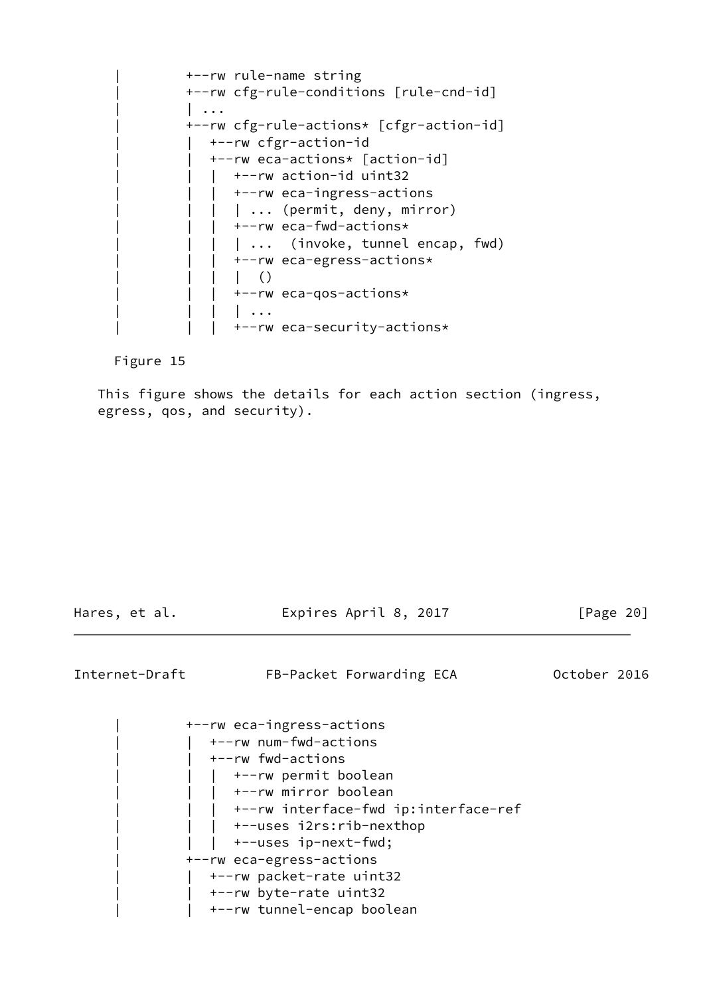| +--rw rule-name string | +--rw cfg-rule-conditions [rule-cnd-id]  $| \cdot \cdot \cdot |$  | +--rw cfg-rule-actions\* [cfgr-action-id] | +--rw cfgr-action-id | | +--rw eca-actions\* [action-id]  $|$  +--rw action-id uint32 |  $+-rw$  eca-ingress-actions | | | | ... (permit, deny, mirror)  $|$  +--rw eca-fwd-actions\* | ... (invoke, tunnel encap, fwd) | +--rw eca-egress-actions\*  $|\;|$  | | | +--rw eca-qos-actions\*  $| \cdot \cdot \cdot |$ | | | +--rw eca-security-actions\*

Figure 15

 This figure shows the details for each action section (ingress, egress, qos, and security).

Hares, et al. **Expires April 8, 2017** [Page 20]

Internet-Draft FB-Packet Forwarding ECA 0ctober 2016

 | +--rw eca-ingress-actions | | +--rw num-fwd-actions | | +--rw fwd-actions | +--rw permit boolean | +--rw mirror boolean | +--rw interface-fwd ip:interface-ref | +--uses i2rs:rib-nexthop | | | +--uses ip-next-fwd; | +--rw eca-egress-actions | | +--rw packet-rate uint32 | | +--rw byte-rate uint32 | | +--rw tunnel-encap boolean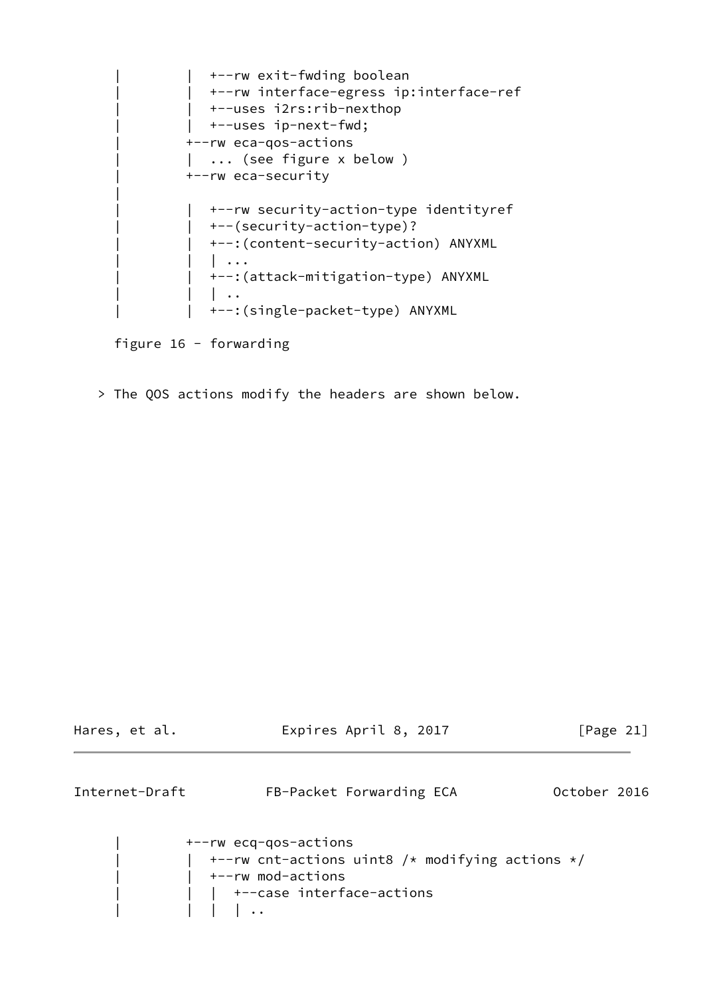| +--rw exit-fwding boolean | +--rw interface-egress ip:interface-ref | | +--uses i2rs:rib-nexthop  $\int$  +--uses ip-next-fwd; | +--rw eca-qos-actions | ... (see figure x below ) | +--rw eca-security | | +--rw security-action-type identityref | | +--(security-action-type)? | | +--:(content-security-action) ANYXML | | | ... | | +--:(attack-mitigation-type) ANYXML  $| \cdot |$ | | +--:(single-packet-type) ANYXML

figure 16 - forwarding

|| || || || || ||

> The QOS actions modify the headers are shown below.

<span id="page-23-0"></span>

| Hares, et al.  |                                                                           | Expires April 8, 2017                                   | [Page 21]    |
|----------------|---------------------------------------------------------------------------|---------------------------------------------------------|--------------|
| Internet-Draft |                                                                           | FB-Packet Forwarding ECA                                | October 2016 |
|                | +--rw ecq-qos-actions<br>+--rw mod-actions<br>  +--case interface-actions | $\vert$ +--rw cnt-actions uint8 /* modifying actions */ |              |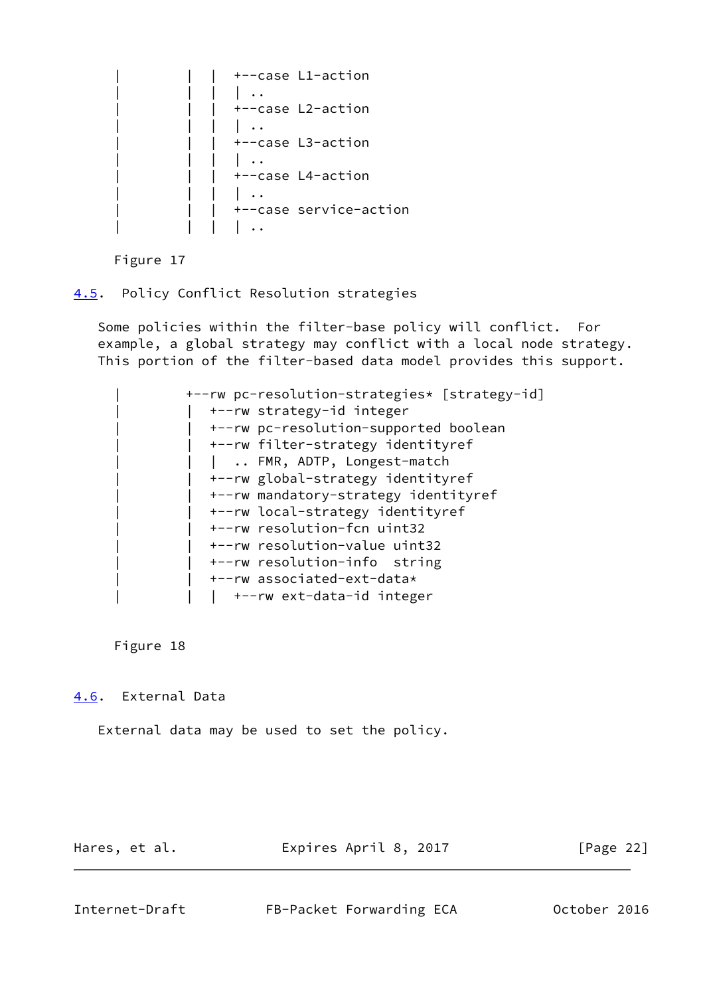|  |  | +--case L1-action      |
|--|--|------------------------|
|  |  |                        |
|  |  | +--case L2-action      |
|  |  |                        |
|  |  | +--case L3-action      |
|  |  |                        |
|  |  | +--case L4-action      |
|  |  |                        |
|  |  | +--case service-action |
|  |  |                        |

Figure 17

<span id="page-24-0"></span>[4.5](#page-24-0). Policy Conflict Resolution strategies

 Some policies within the filter-base policy will conflict. For example, a global strategy may conflict with a local node strategy. This portion of the filter-based data model provides this support.

 | +--rw pc-resolution-strategies\* [strategy-id] | | +--rw strategy-id integer | | +--rw pc-resolution-supported boolean | | +--rw filter-strategy identityref | .. FMR, ADTP, Longest-match | | +--rw global-strategy identityref | | +--rw mandatory-strategy identityref | | +--rw local-strategy identityref | | +--rw resolution-fcn uint32 | | +--rw resolution-value uint32 | | +--rw resolution-info string | | +--rw associated-ext-data\* | +--rw ext-data-id integer

Figure 18

<span id="page-24-1"></span>[4.6](#page-24-1). External Data

External data may be used to set the policy.

Hares, et al. **Expires April 8, 2017** [Page 22]

<span id="page-24-2"></span>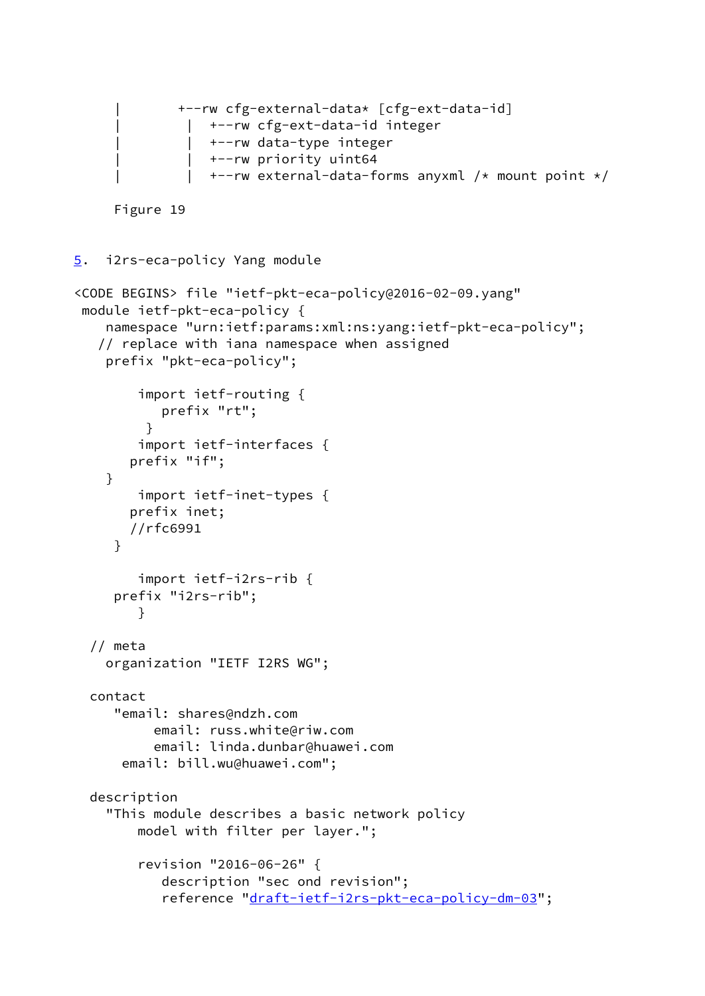```
 | +--rw cfg-external-data* [cfg-ext-data-id]
               | +--rw cfg-ext-data-id integer
                  | | +--rw data-type integer
                   | | +--rw priority uint64
                  +--rw external-data-forms anyxml /* mount point */ Figure 19
5. i2rs-eca-policy Yang module
<CODE BEGINS> file "ietf-pkt-eca-policy@2016-02-09.yang"
 module ietf-pkt-eca-policy {
     namespace "urn:ietf:params:xml:ns:yang:ietf-pkt-eca-policy";
    // replace with iana namespace when assigned
     prefix "pkt-eca-policy";
         import ietf-routing {
            prefix "rt";
          }
         import ietf-interfaces {
        prefix "if";
     }
         import ietf-inet-types {
        prefix inet;
        //rfc6991
      }
         import ietf-i2rs-rib {
      prefix "i2rs-rib";
         }
   // meta
     organization "IETF I2RS WG";
   contact
      "email: shares@ndzh.com
           email: russ.white@riw.com
           email: linda.dunbar@huawei.com
       email: bill.wu@huawei.com";
   description
     "This module describes a basic network policy
         model with filter per layer.";
         revision "2016-06-26" {
            description "sec ond revision";
            reference "draft-ietf-i2rs-pkt-eca-policy-dm-03";
```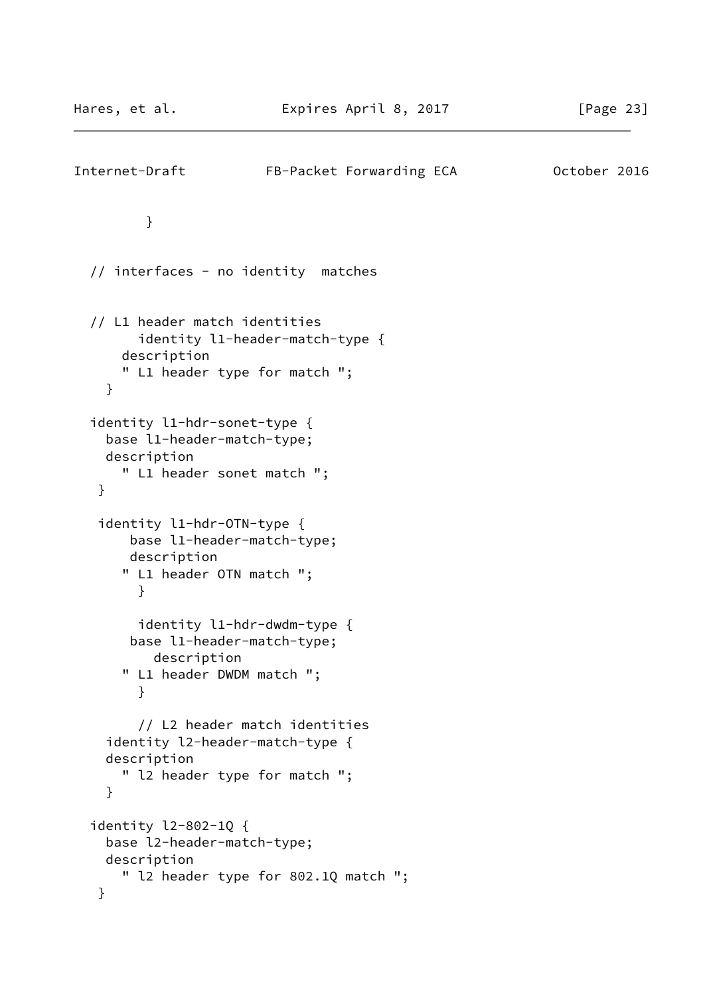```
Internet-Draft FB-Packet Forwarding ECA 0ctober 2016
          }
   // interfaces - no identity matches
   // L1 header match identities
         identity l1-header-match-type {
      description
      " L1 header type for match ";
     }
   identity l1-hdr-sonet-type {
     base l1-header-match-type;
     description
      " L1 header sonet match ";
    }
    identity l1-hdr-OTN-type {
        base l1-header-match-type;
        description
       " L1 header OTN match ";
         }
         identity l1-hdr-dwdm-type {
        base l1-header-match-type;
          description
       " L1 header DWDM match ";
         }
         // L2 header match identities
     identity l2-header-match-type {
     description
       " l2 header type for match ";
     }
   identity l2-802-1Q {
     base l2-header-match-type;
     description
      " l2 header type for 802.1Q match ";
    }
```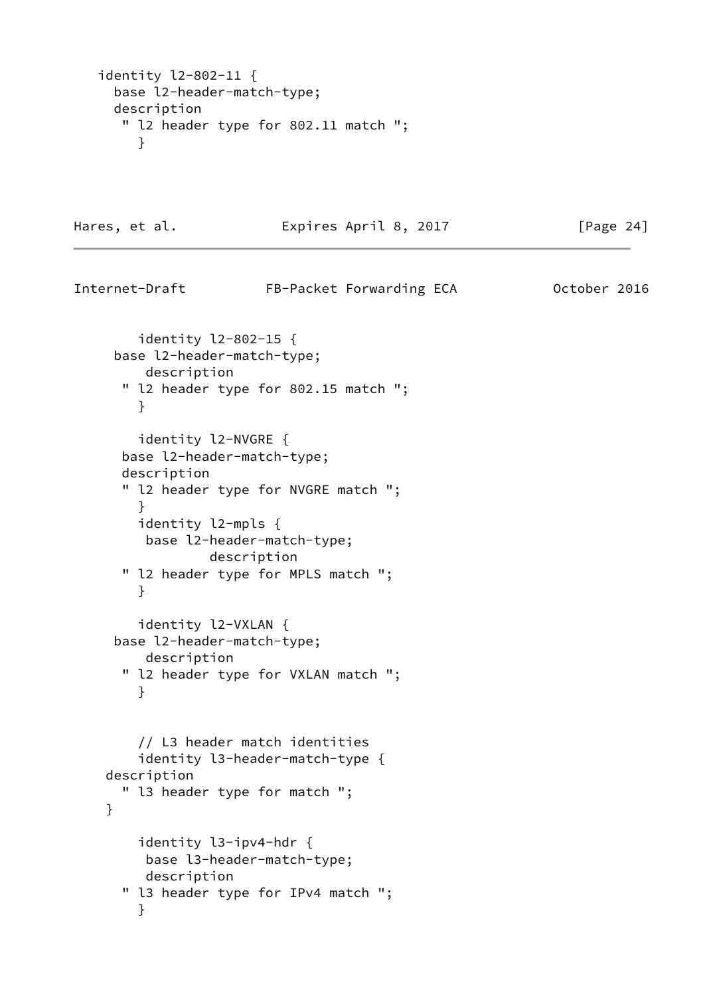```
 identity l2-802-11 {
   base l2-header-match-type;
   description
    " l2 header type for 802.11 match ";
      }
```
Hares, et al. **Expires April 8, 2017** [Page 24]

```
Internet-Draft FB-Packet Forwarding ECA 0ctober 2016
         identity l2-802-15 {
      base l2-header-match-type;
         description
       " l2 header type for 802.15 match ";
         }
         identity l2-NVGRE {
       base l2-header-match-type;
       description
       " l2 header type for NVGRE match ";
         }
         identity l2-mpls {
         base l2-header-match-type;
                  description
       " l2 header type for MPLS match ";
         }
         identity l2-VXLAN {
      base l2-header-match-type;
         description
       " l2 header type for VXLAN match ";
         }
         // L3 header match identities
         identity l3-header-match-type {
     description
       " l3 header type for match ";
     }
         identity l3-ipv4-hdr {
         base l3-header-match-type;
         description
       " l3 header type for IPv4 match ";
         }
```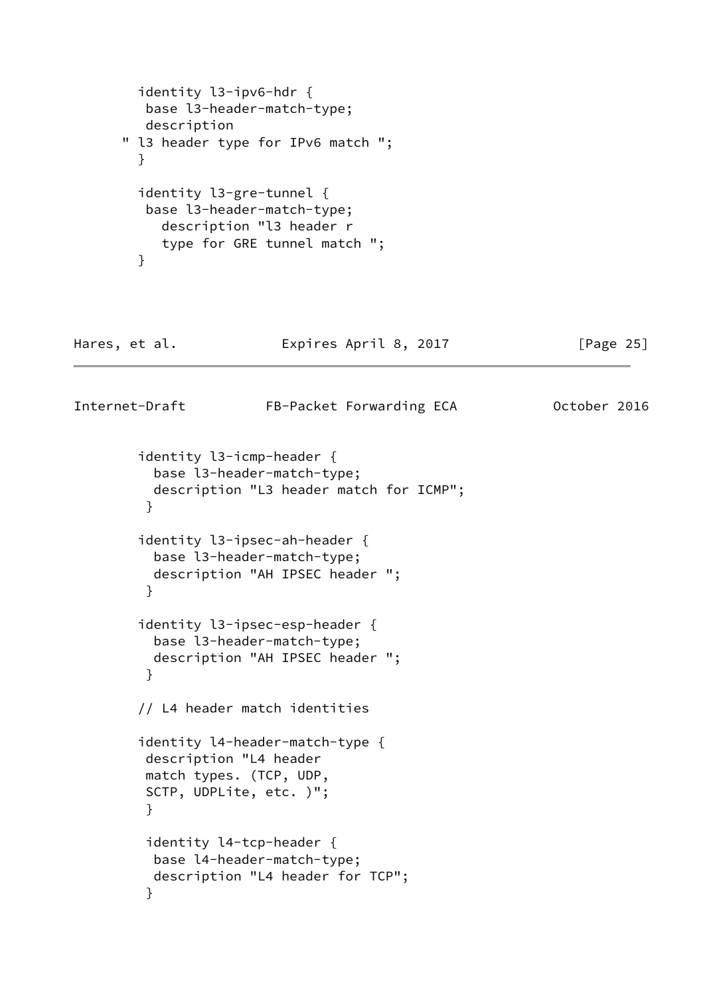```
 identity l3-ipv6-hdr {
         base l3-header-match-type;
         description
      " l3 header type for IPv6 match ";
        }
        identity l3-gre-tunnel {
         base l3-header-match-type;
           description "l3 header r
           type for GRE tunnel match ";
        }
Hares, et al. Expires April 8, 2017 [Page 25]
Internet-Draft FB-Packet Forwarding ECA 0ctober 2016
        identity l3-icmp-header {
          base l3-header-match-type;
          description "L3 header match for ICMP";
         }
        identity l3-ipsec-ah-header {
          base l3-header-match-type;
          description "AH IPSEC header ";
         }
        identity l3-ipsec-esp-header {
          base l3-header-match-type;
          description "AH IPSEC header ";
 }
        // L4 header match identities
        identity l4-header-match-type {
         description "L4 header
         match types. (TCP, UDP,
         SCTP, UDPLite, etc. )";
 }
         identity l4-tcp-header {
          base l4-header-match-type;
          description "L4 header for TCP";
 }
```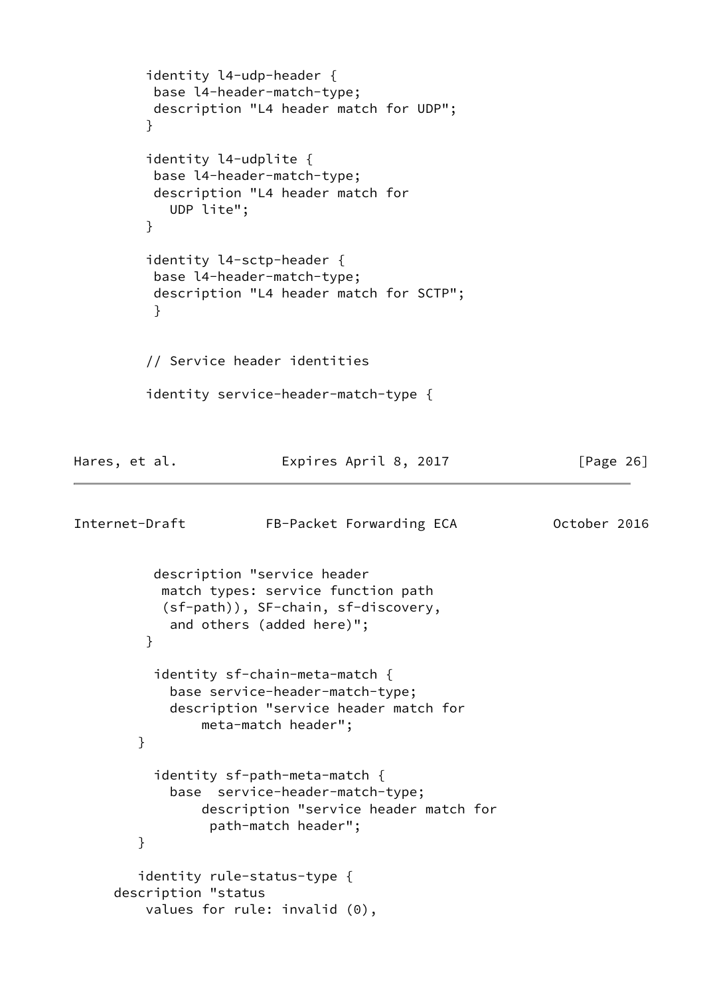```
 identity l4-udp-header {
          base l4-header-match-type;
          description "L4 header match for UDP";
 }
         identity l4-udplite {
          base l4-header-match-type;
          description "L4 header match for
            UDP lite";
 }
         identity l4-sctp-header {
          base l4-header-match-type;
          description "L4 header match for SCTP";
          }
         // Service header identities
         identity service-header-match-type {
Hares, et al. Expires April 8, 2017 [Page 26]
Internet-Draft FB-Packet Forwarding ECA 0ctober 2016
          description "service header
           match types: service function path
           (sf-path)), SF-chain, sf-discovery,
            and others (added here)";
 }
          identity sf-chain-meta-match {
            base service-header-match-type;
            description "service header match for
                meta-match header";
        }
          identity sf-path-meta-match {
            base service-header-match-type;
                description "service header match for
                 path-match header";
        }
        identity rule-status-type {
     description "status
         values for rule: invalid (0),
```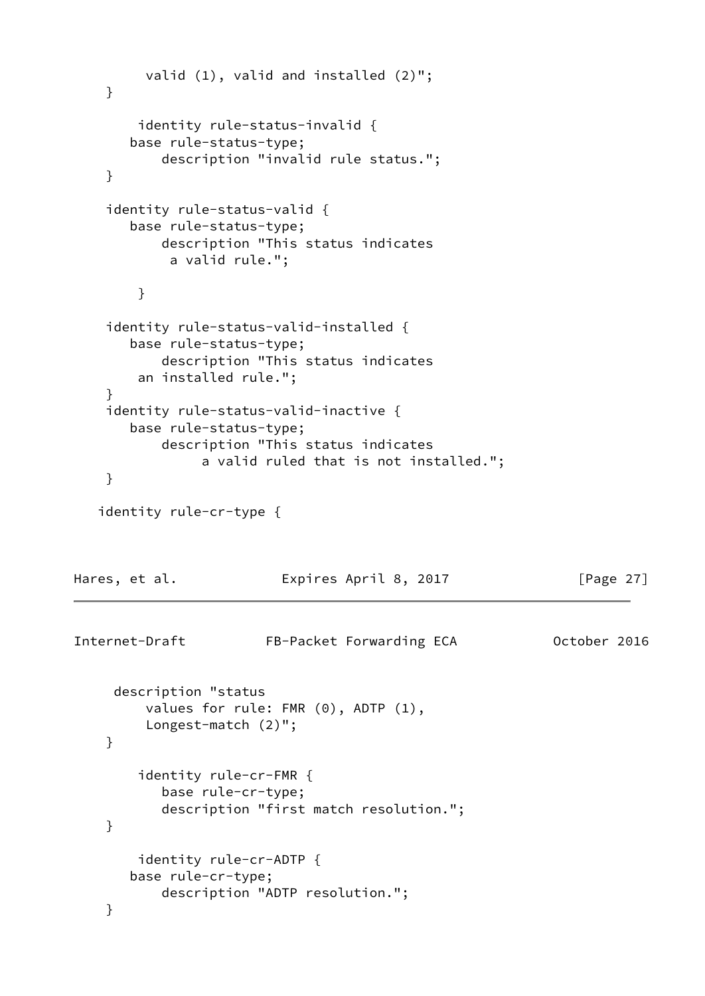```
 valid (1), valid and installed (2)";
     }
         identity rule-status-invalid {
        base rule-status-type;
            description "invalid rule status.";
     }
     identity rule-status-valid {
        base rule-status-type;
           description "This status indicates
             a valid rule.";
         }
     identity rule-status-valid-installed {
        base rule-status-type;
           description "This status indicates
        an installed rule.";
     }
     identity rule-status-valid-inactive {
        base rule-status-type;
            description "This status indicates
                 a valid ruled that is not installed.";
     }
    identity rule-cr-type {
Hares, et al. Expires April 8, 2017 [Page 27]
Internet-Draft FB-Packet Forwarding ECA October 2016
      description "status
          values for rule: FMR (0), ADTP (1),
          Longest-match (2)";
     }
         identity rule-cr-FMR {
            base rule-cr-type;
            description "first match resolution.";
     }
         identity rule-cr-ADTP {
        base rule-cr-type;
           description "ADTP resolution.";
     }
```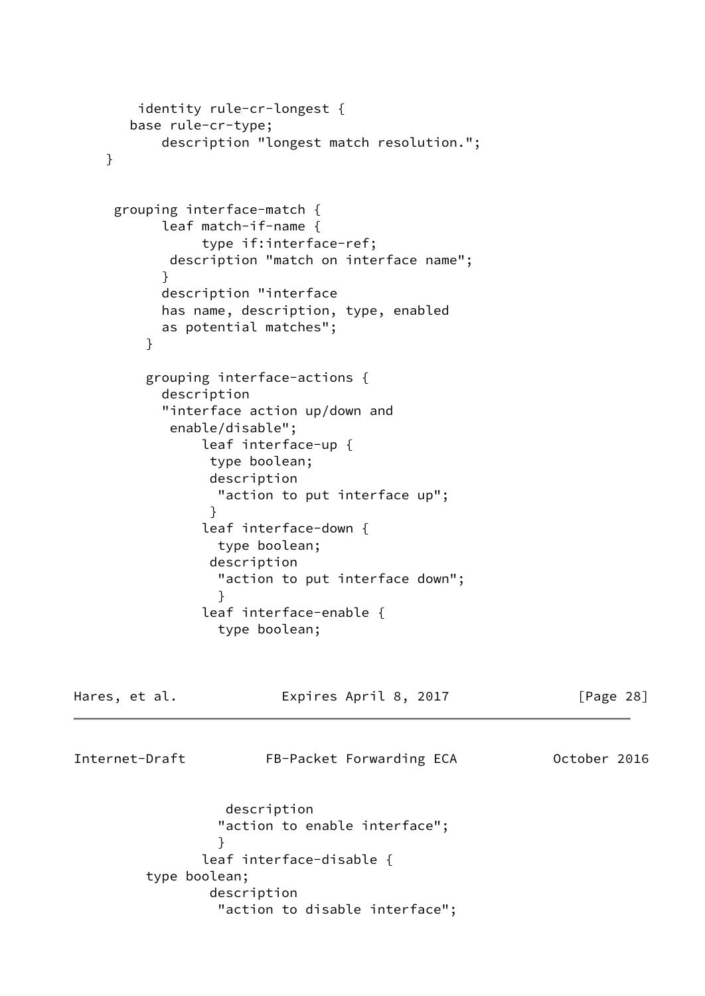```
 identity rule-cr-longest {
       base rule-cr-type;
           description "longest match resolution.";
    }
     grouping interface-match {
           leaf match-if-name {
                type if:interface-ref;
            description "match on interface name";
 }
           description "interface
           has name, description, type, enabled
           as potential matches";
         }
         grouping interface-actions {
           description
           "interface action up/down and
            enable/disable";
                leaf interface-up {
                type boolean;
                description
                  "action to put interface up";
 }
                leaf interface-down {
                 type boolean;
                description
                 "action to put interface down";
 }
                leaf interface-enable {
                 type boolean;
Hares, et al. Expires April 8, 2017 [Page 28]
Internet-Draft FB-Packet Forwarding ECA 0ctober 2016
                  description
                 "action to enable interface";
 }
                leaf interface-disable {
         type boolean;
                description
                  "action to disable interface";
```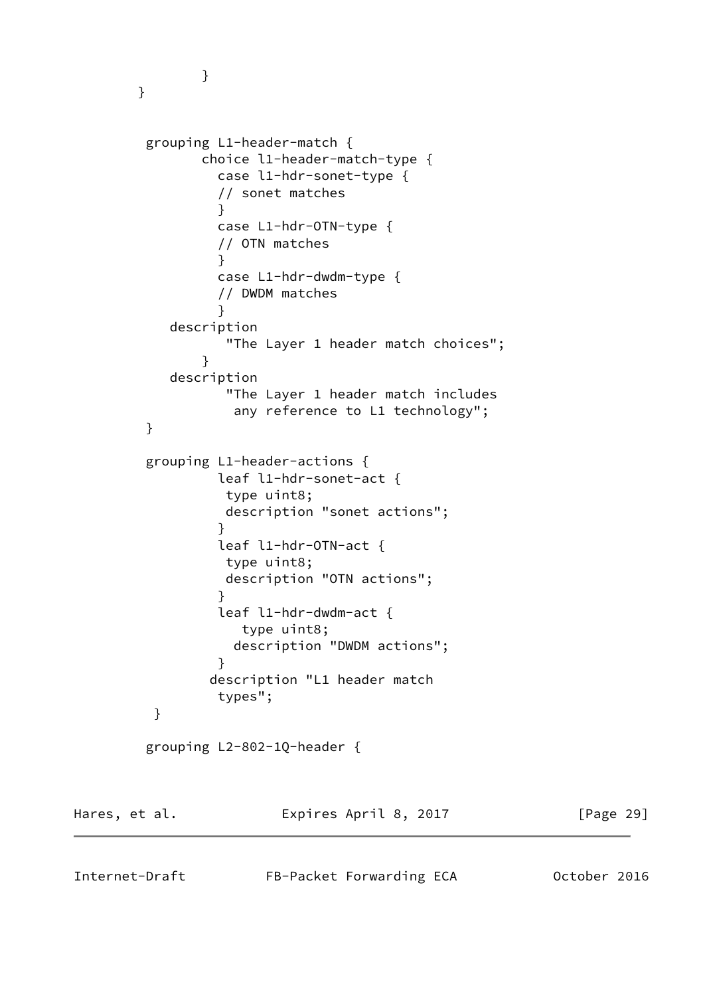```
 }
       }
        grouping L1-header-match {
              choice l1-header-match-type {
                case l1-hdr-sonet-type {
                // sonet matches
 }
                case L1-hdr-OTN-type {
                // OTN matches
 }
                case L1-hdr-dwdm-type {
                // DWDM matches
 }
           description
                 "The Layer 1 header match choices";
 }
           description
                 "The Layer 1 header match includes
                  any reference to L1 technology";
        }
        grouping L1-header-actions {
                leaf l1-hdr-sonet-act {
                 type uint8;
                 description "sonet actions";
 }
                leaf l1-hdr-OTN-act {
                 type uint8;
                 description "OTN actions";
 }
                leaf l1-hdr-dwdm-act {
                   type uint8;
                  description "DWDM actions";
 }
               description "L1 header match
                types";
         }
        grouping L2-802-1Q-header {
Hares, et al. Expires April 8, 2017 [Page 29]
```
Internet-Draft FB-Packet Forwarding ECA 0ctober 2016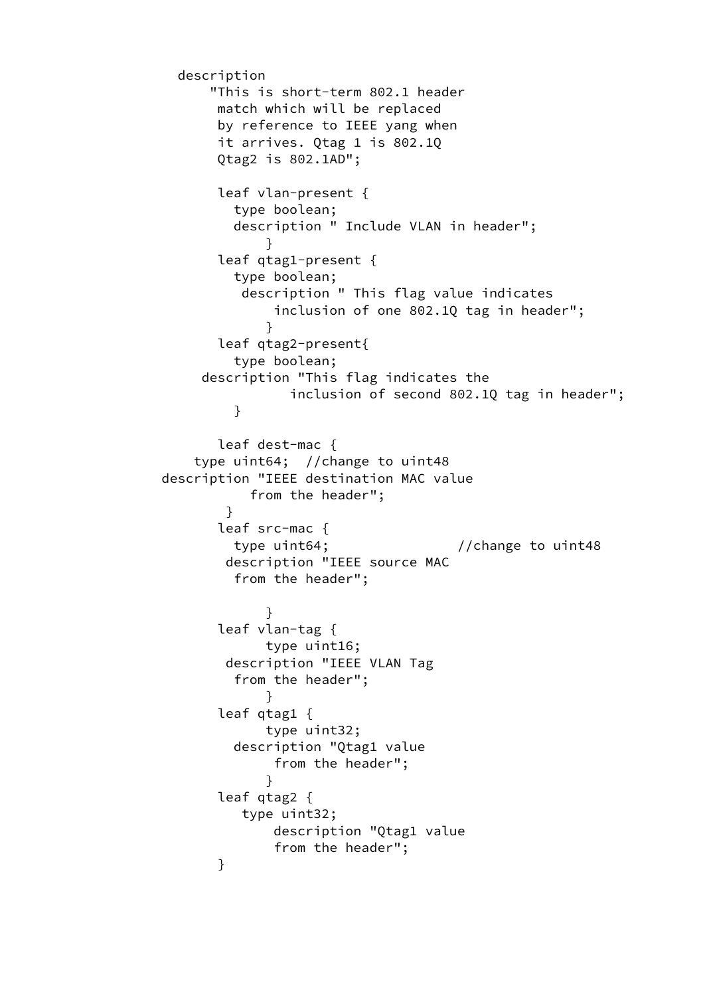```
 description
               "This is short-term 802.1 header
                match which will be replaced
                by reference to IEEE yang when
                it arrives. Qtag 1 is 802.1Q
                Qtag2 is 802.1AD";
                leaf vlan-present {
                  type boolean;
                  description " Include VLAN in header";
 }
                leaf qtag1-present {
                  type boolean;
                   description " This flag value indicates
                      inclusion of one 802.1Q tag in header";
 }
                leaf qtag2-present{
                  type boolean;
              description "This flag indicates the
                        inclusion of second 802.1Q tag in header";
 }
                leaf dest-mac {
              type uint64; //change to uint48
          description "IEEE destination MAC value
                    from the header";
 }
                leaf src-mac {
                 type uint64; // change to unit48 description "IEEE source MAC
                  from the header";
 }
                leaf vlan-tag {
                     type uint16;
                 description "IEEE VLAN Tag
                  from the header";
 }
                leaf qtag1 {
                     type uint32;
                  description "Qtag1 value
                      from the header";
 }
                leaf qtag2 {
                   type uint32;
                      description "Qtag1 value
                      from the header";
 }
```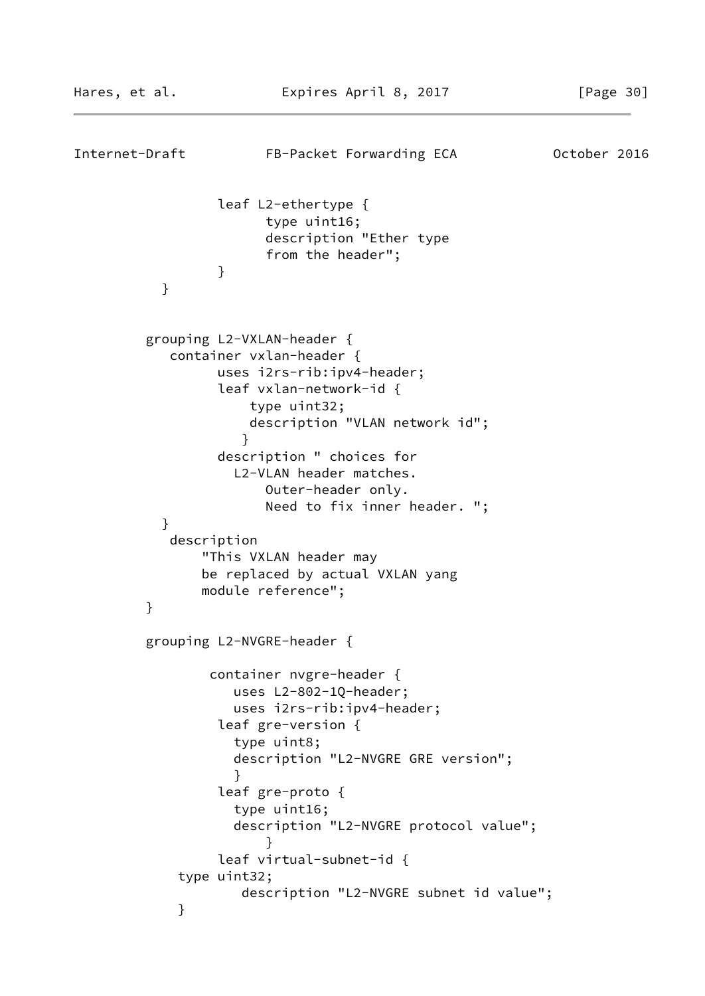```
Internet-Draft FB-Packet Forwarding ECA 0ctober 2016
                 leaf L2-ethertype {
                       type uint16;
                       description "Ether type
                       from the header";
 }
 }
         grouping L2-VXLAN-header {
            container vxlan-header {
                 uses i2rs-rib:ipv4-header;
                 leaf vxlan-network-id {
                     type uint32;
                     description "VLAN network id";
 }
                 description " choices for
                   L2-VLAN header matches.
                       Outer-header only.
                       Need to fix inner header. ";
 }
            description
               "This VXLAN header may
               be replaced by actual VXLAN yang
               module reference";
         }
         grouping L2-NVGRE-header {
                container nvgre-header {
                   uses L2-802-1Q-header;
                   uses i2rs-rib:ipv4-header;
                 leaf gre-version {
                   type uint8;
                   description "L2-NVGRE GRE version";
 }
                 leaf gre-proto {
                   type uint16;
                   description "L2-NVGRE protocol value";
 }
                 leaf virtual-subnet-id {
            type uint32;
                    description "L2-NVGRE subnet id value";
 }
```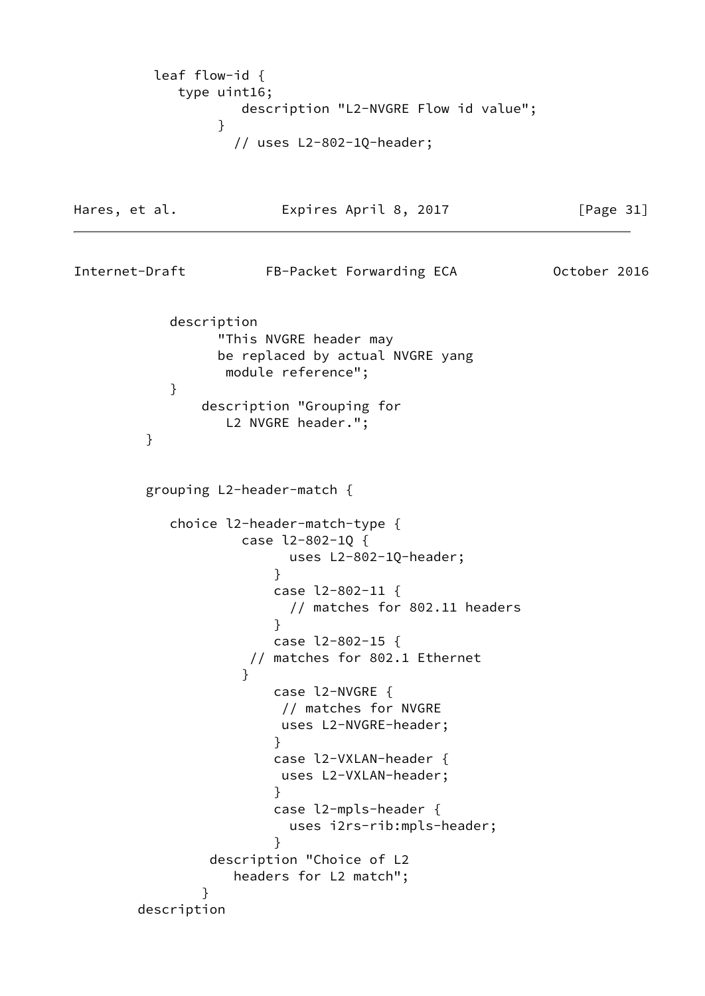```
 leaf flow-id {
           type uint16;
                  description "L2-NVGRE Flow id value";
 }
                 // uses L2-802-1Q-header;
Hares, et al. Expires April 8, 2017 [Page 31]
Internet-Draft FB-Packet Forwarding ECA 0ctober 2016
          description
               "This NVGRE header may
               be replaced by actual NVGRE yang
                module reference";
 }
             description "Grouping for
                L2 NVGRE header.";
        }
        grouping L2-header-match {
          choice l2-header-match-type {
                  case l2-802-1Q {
                      uses L2-802-1Q-header;
 }
                     case l2-802-11 {
                      // matches for 802.11 headers
 }
                     case l2-802-15 {
                  // matches for 802.1 Ethernet
 }
                     case l2-NVGRE {
                     // matches for NVGRE
                     uses L2-NVGRE-header;
 }
                     case l2-VXLAN-header {
                     uses L2-VXLAN-header;
 }
                     case l2-mpls-header {
                      uses i2rs-rib:mpls-header;
 }
              description "Choice of L2
                 headers for L2 match";
 }
       description
```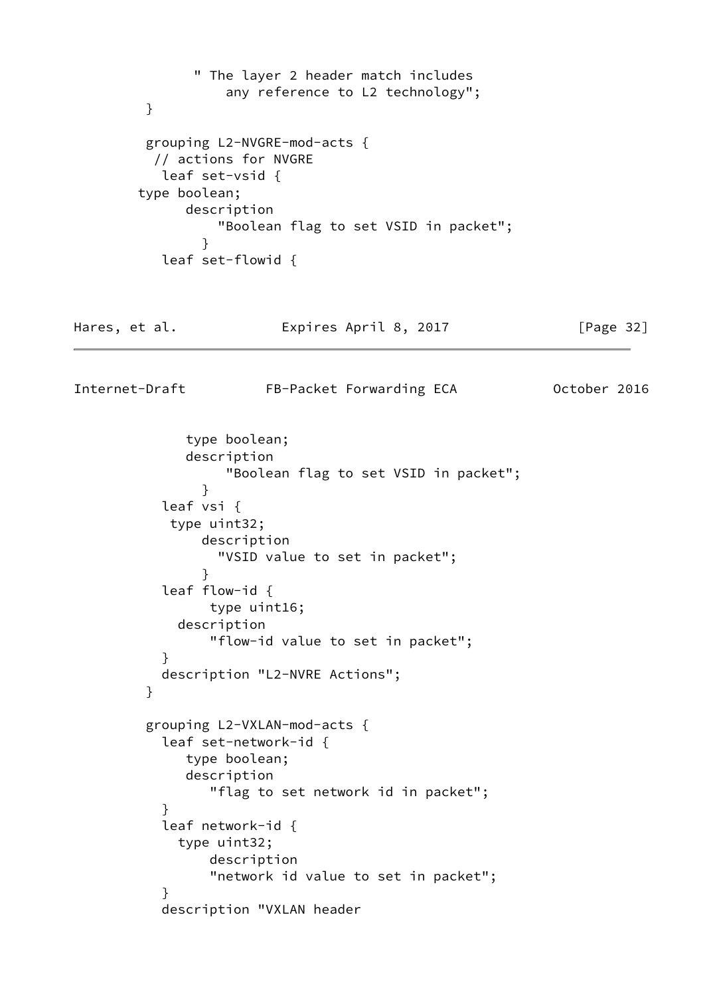```
 " The layer 2 header match includes
                  any reference to L2 technology";
         }
         grouping L2-NVGRE-mod-acts {
          // actions for NVGRE
           leaf set-vsid {
        type boolean;
             description
                 "Boolean flag to set VSID in packet";
 }
           leaf set-flowid {
Hares, et al. Expires April 8, 2017 [Page 32]
Internet-Draft FB-Packet Forwarding ECA 0ctober 2016
             type boolean;
             description
                  "Boolean flag to set VSID in packet";
 }
           leaf vsi {
            type uint32;
               description
                 "VSID value to set in packet";
 }
           leaf flow-id {
                type uint16;
            description
                "flow-id value to set in packet";
 }
           description "L2-NVRE Actions";
         }
         grouping L2-VXLAN-mod-acts {
           leaf set-network-id {
             type boolean;
             description
                "flag to set network id in packet";
 }
           leaf network-id {
            type uint32;
                description
                "network id value to set in packet";
 }
           description "VXLAN header
```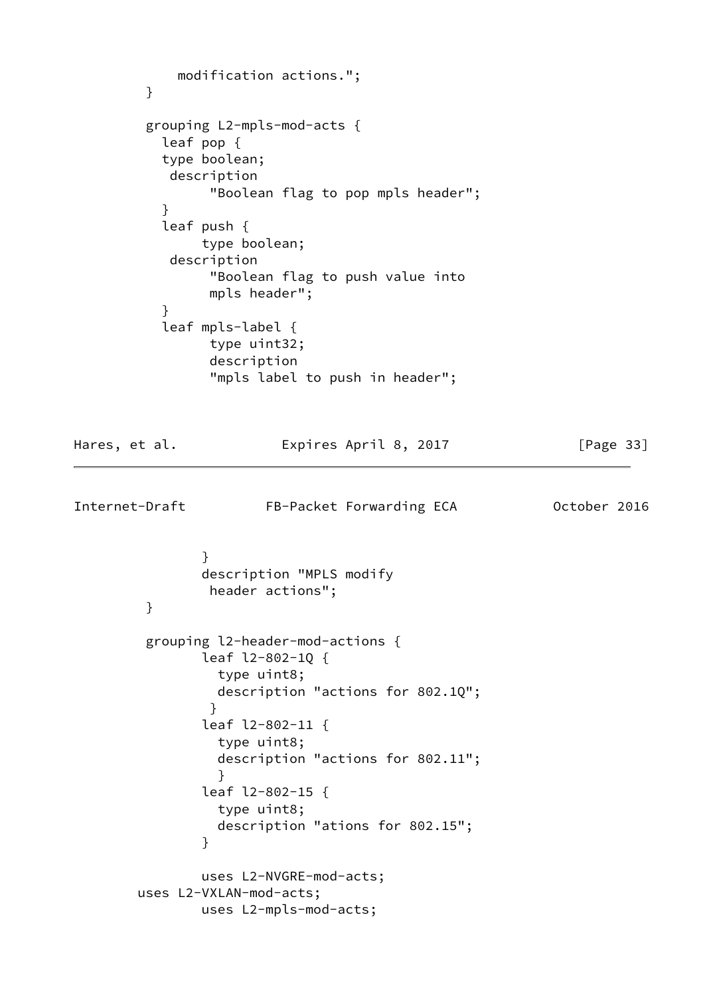```
 modification actions.";
         }
         grouping L2-mpls-mod-acts {
           leaf pop {
           type boolean;
           description
                "Boolean flag to pop mpls header";
 }
           leaf push {
               type boolean;
           description
                "Boolean flag to push value into
                mpls header";
 }
           leaf mpls-label {
                type uint32;
                description
                "mpls label to push in header";
Hares, et al. Expires April 8, 2017 [Page 33]
Internet-Draft FB-Packet Forwarding ECA 0ctober 2016
 }
               description "MPLS modify
                header actions";
         }
         grouping l2-header-mod-actions {
               leaf l2-802-1Q {
                 type uint8;
                 description "actions for 802.1Q";
 }
               leaf l2-802-11 {
                 type uint8;
                 description "actions for 802.11";
 }
               leaf l2-802-15 {
                 type uint8;
                 description "ations for 802.15";
 }
               uses L2-NVGRE-mod-acts;
        uses L2-VXLAN-mod-acts;
               uses L2-mpls-mod-acts;
```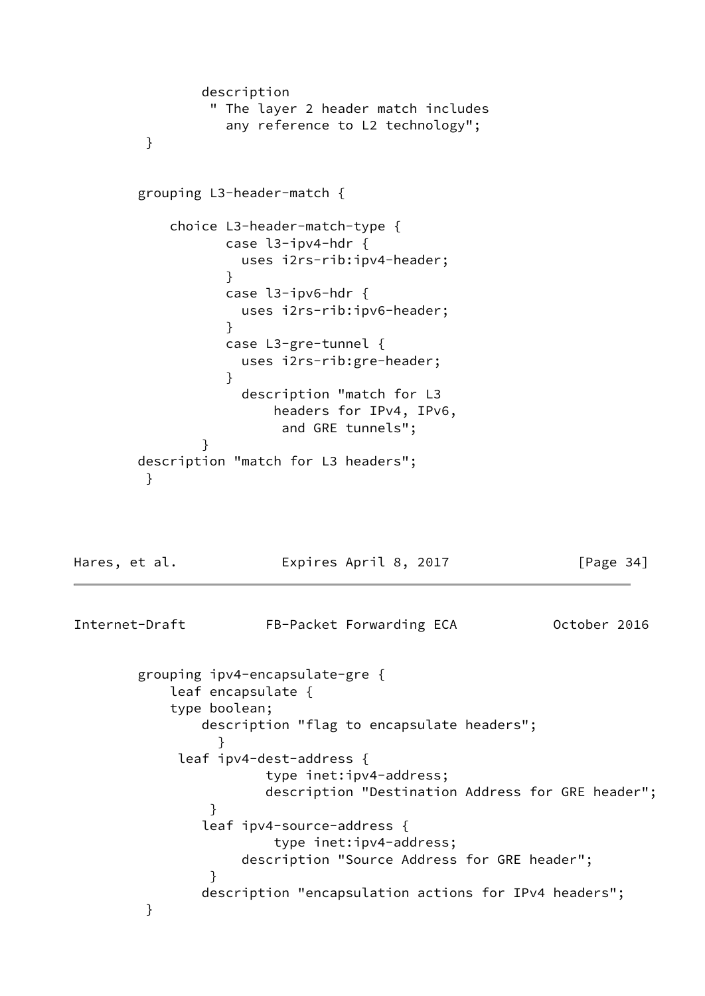```
 description
                " The layer 2 header match includes
                  any reference to L2 technology";
         }
        grouping L3-header-match {
           choice L3-header-match-type {
                 case l3-ipv4-hdr {
                   uses i2rs-rib:ipv4-header;
 }
                 case l3-ipv6-hdr {
                   uses i2rs-rib:ipv6-header;
 }
                 case L3-gre-tunnel {
                   uses i2rs-rib:gre-header;
 }
                   description "match for L3
                       headers for IPv4, IPv6,
                        and GRE tunnels";
 }
        description "match for L3 headers";
         }
Hares, et al. Expires April 8, 2017 [Page 34]
Internet-Draft FB-Packet Forwarding ECA 0ctober 2016
        grouping ipv4-encapsulate-gre {
           leaf encapsulate {
           type boolean;
               description "flag to encapsulate headers";
 }
            leaf ipv4-dest-address {
                      type inet:ipv4-address;
                      description "Destination Address for GRE header";
 }
               leaf ipv4-source-address {
                       type inet:ipv4-address;
                   description "Source Address for GRE header";
 }
               description "encapsulation actions for IPv4 headers";
         }
```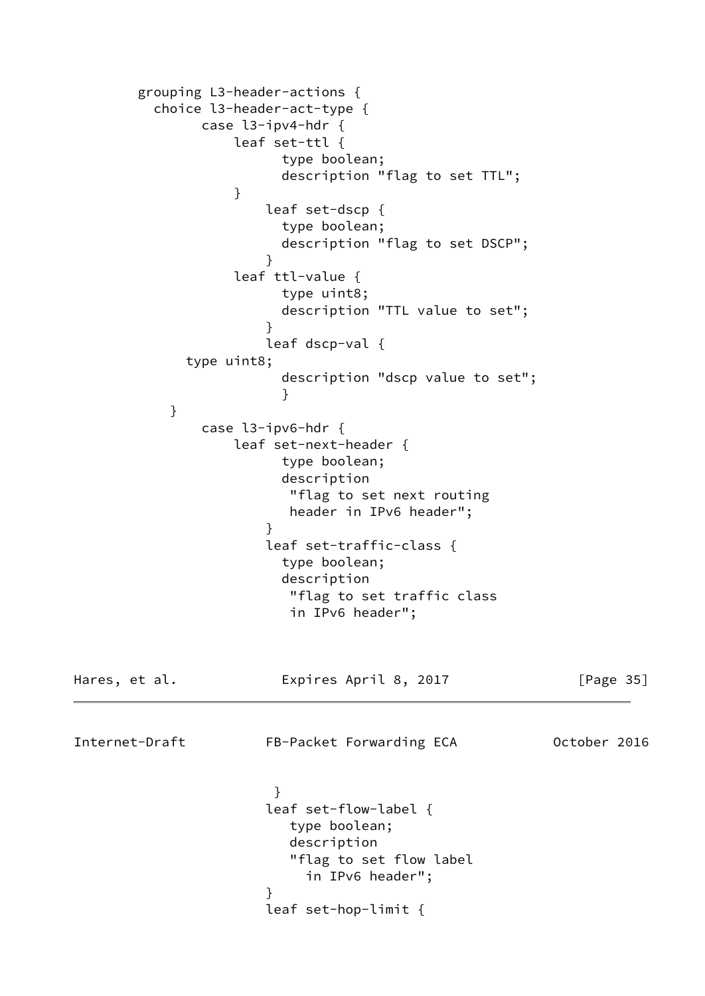```
 grouping L3-header-actions {
         choice l3-header-act-type {
              case l3-ipv4-hdr {
                 leaf set-ttl {
                      type boolean;
                      description "flag to set TTL";
 }
                    leaf set-dscp {
                      type boolean;
                      description "flag to set DSCP";
 }
                 leaf ttl-value {
                      type uint8;
                      description "TTL value to set";
 }
                     leaf dscp-val {
            type uint8;
                      description "dscp value to set";
 }
 }
              case l3-ipv6-hdr {
                 leaf set-next-header {
                      type boolean;
                      description
                       "flag to set next routing
                       header in IPv6 header";
 }
                     leaf set-traffic-class {
                      type boolean;
                      description
                       "flag to set traffic class
                       in IPv6 header";
Hares, et al. Expires April 8, 2017 [Page 35]
Internet-Draft FB-Packet Forwarding ECA 0ctober 2016
 }
                     leaf set-flow-label {
                       type boolean;
                       description
                       "flag to set flow label
                         in IPv6 header";
 }
                     leaf set-hop-limit {
```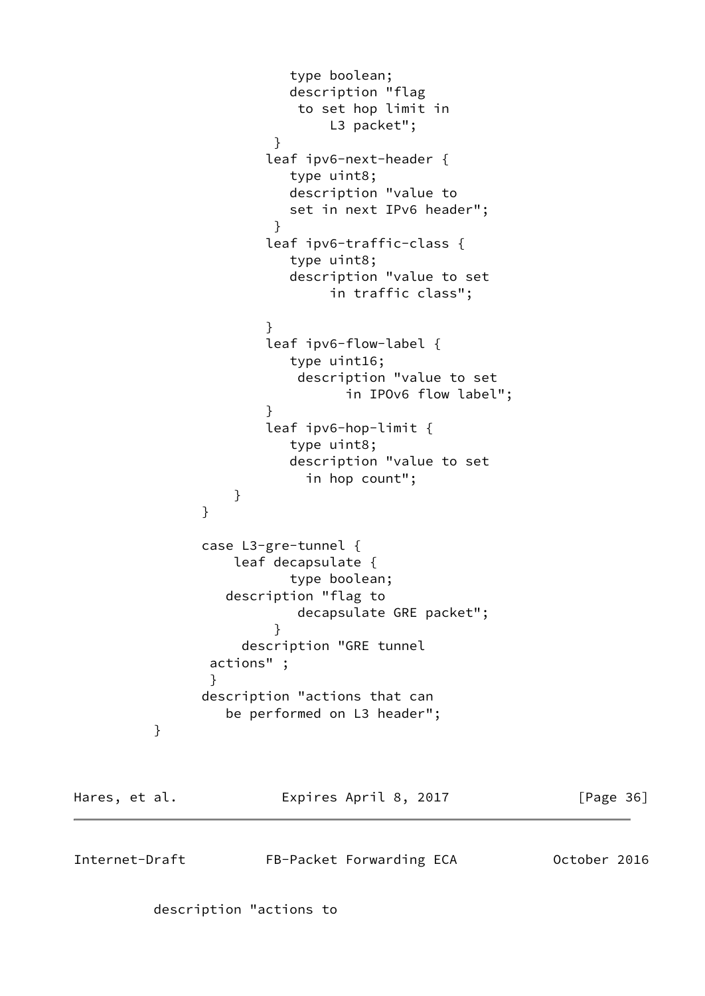```
 type boolean;
                       description "flag
                       to set hop limit in
                           L3 packet";
 }
                    leaf ipv6-next-header {
                       type uint8;
                       description "value to
                       set in next IPv6 header";
 }
                    leaf ipv6-traffic-class {
                       type uint8;
                       description "value to set
                           in traffic class";
 }
                    leaf ipv6-flow-label {
                       type uint16;
                       description "value to set
                            in IPOv6 flow label";
 }
                    leaf ipv6-hop-limit {
                       type uint8;
                       description "value to set
                        in hop count";
 }
 }
              case L3-gre-tunnel {
                 leaf decapsulate {
                      type boolean;
                description "flag to
                       decapsulate GRE packet";
 }
                  description "GRE tunnel
              actions" ;
 }
              description "actions that can
                be performed on L3 header";
         }
Hares, et al. Expires April 8, 2017 [Page 36]
Internet-Draft FB-Packet Forwarding ECA 0ctober 2016
```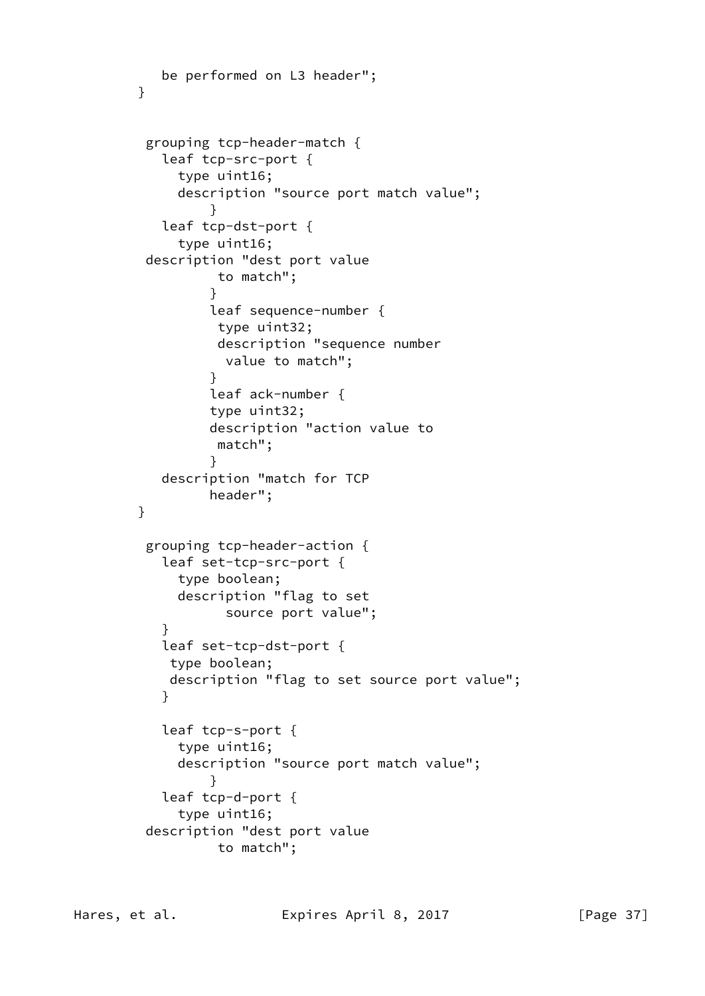```
 be performed on L3 header";
        }
         grouping tcp-header-match {
           leaf tcp-src-port {
             type uint16;
             description "source port match value";
 }
           leaf tcp-dst-port {
             type uint16;
         description "dest port value
                 to match";
 }
                 leaf sequence-number {
                 type uint32;
                 description "sequence number
                  value to match";
 }
                 leaf ack-number {
                 type uint32;
                 description "action value to
                 match";
 }
           description "match for TCP
                header";
        }
         grouping tcp-header-action {
           leaf set-tcp-src-port {
             type boolean;
             description "flag to set
                  source port value";
 }
           leaf set-tcp-dst-port {
            type boolean;
            description "flag to set source port value";
 }
           leaf tcp-s-port {
             type uint16;
             description "source port match value";
 }
           leaf tcp-d-port {
             type uint16;
         description "dest port value
                 to match";
```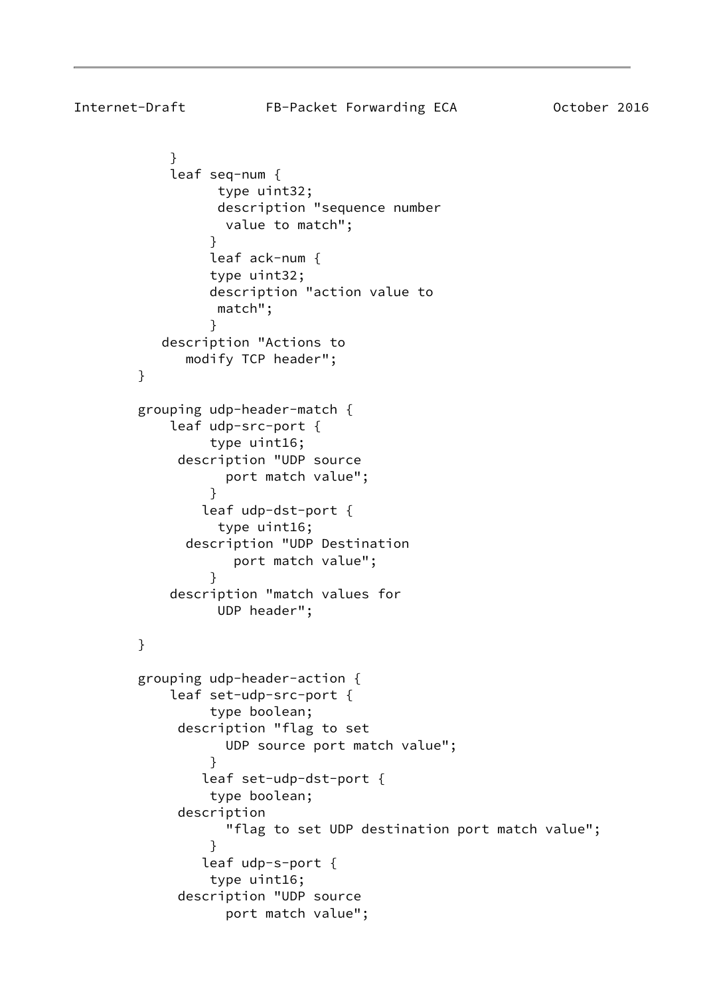```
Internet-Draft FB-Packet Forwarding ECA 0ctober 2016
 }
            leaf seq-num {
                 type uint32;
                 description "sequence number
                  value to match";
 }
                leaf ack-num {
                type uint32;
                description "action value to
                 match";
 }
           description "Actions to
              modify TCP header";
        }
        grouping udp-header-match {
            leaf udp-src-port {
                type uint16;
            description "UDP source
                  port match value";
 }
               leaf udp-dst-port {
                 type uint16;
              description "UDP Destination
                   port match value";
 }
            description "match values for
                 UDP header";
        }
        grouping udp-header-action {
            leaf set-udp-src-port {
                type boolean;
             description "flag to set
                  UDP source port match value";
 }
               leaf set-udp-dst-port {
                type boolean;
             description
                  "flag to set UDP destination port match value";
 }
               leaf udp-s-port {
                type uint16;
             description "UDP source
                  port match value";
```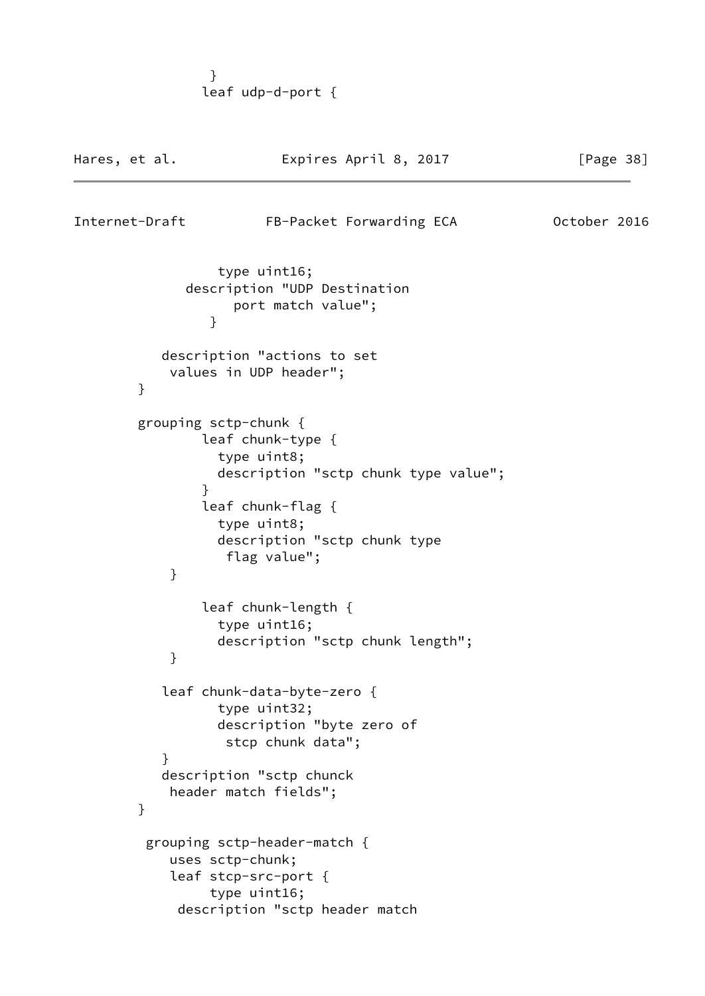} leaf udp-d-port {

| Hares, et al.  | Expires April 8, 2017                                                                                                                              | [Page 38]    |
|----------------|----------------------------------------------------------------------------------------------------------------------------------------------------|--------------|
| Internet-Draft | FB-Packet Forwarding ECA                                                                                                                           | October 2016 |
| }              | type uint16;<br>description "UDP Destination<br>port match value";                                                                                 |              |
| }              | description "actions to set<br>values in UDP header";                                                                                              |              |
|                | grouping sctp-chunk {<br>leaf chunk-type {<br>type uint8;<br>description "sctp chunk type value";                                                  |              |
| ł<br>}         | leaf chunk-flag {<br>type uint8;<br>description "sctp chunk type<br>flag value";                                                                   |              |
| }              | leaf chunk-length {<br>type uint16;<br>description "sctp chunk length";                                                                            |              |
| }<br>}         | leaf chunk-data-byte-zero {<br>type uint32;<br>description "byte zero of<br>stcp chunk data";<br>description "sctp chunck<br>header match fields"; |              |
|                | grouping sctp-header-match {<br>uses sctp-chunk;<br>leaf stcp-src-port {<br>type uint16;<br>description "sctp header match                         |              |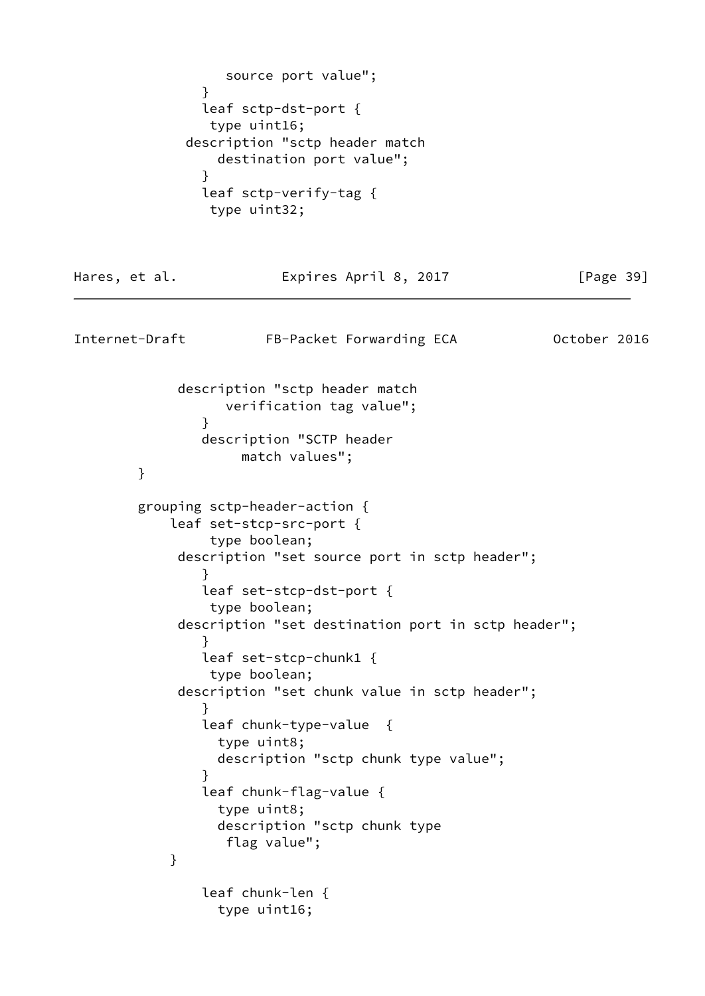```
 source port value";
 }
               leaf sctp-dst-port {
                type uint16;
             description "sctp header match
                destination port value";
 }
               leaf sctp-verify-tag {
               type uint32;
Hares, et al. Expires April 8, 2017 [Page 39]
Internet-Draft FB-Packet Forwarding ECA 0ctober 2016
            description "sctp header match
                 verification tag value";
 }
               description "SCTP header
                   match values";
        }
        grouping sctp-header-action {
           leaf set-stcp-src-port {
                type boolean;
            description "set source port in sctp header";
 }
               leaf set-stcp-dst-port {
               type boolean;
            description "set destination port in sctp header";
 }
               leaf set-stcp-chunk1 {
               type boolean;
            description "set chunk value in sctp header";
 }
               leaf chunk-type-value {
                 type uint8;
                description "sctp chunk type value";
 }
               leaf chunk-flag-value {
                type uint8;
                 description "sctp chunk type
                 flag value";
 }
               leaf chunk-len {
                 type uint16;
```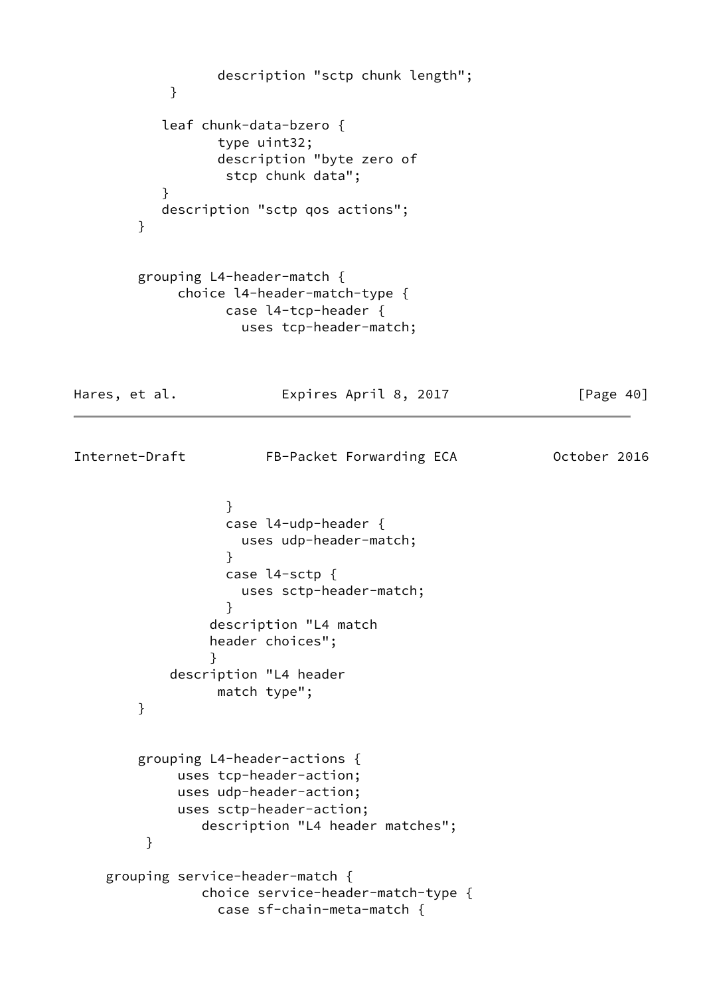```
 description "sctp chunk length";
 }
          leaf chunk-data-bzero {
                 type uint32;
                 description "byte zero of
                  stcp chunk data";
 }
          description "sctp qos actions";
        }
        grouping L4-header-match {
            choice l4-header-match-type {
                  case l4-tcp-header {
                   uses tcp-header-match;
Hares, et al. Expires April 8, 2017 [Page 40]
Internet-Draft FB-Packet Forwarding ECA 0ctober 2016
 }
                  case l4-udp-header {
                   uses udp-header-match;
 }
                  case l4-sctp {
                   uses sctp-header-match;
 }
                description "L4 match
                header choices";
 }
           description "L4 header
                 match type";
        }
        grouping L4-header-actions {
            uses tcp-header-action;
            uses udp-header-action;
            uses sctp-header-action;
               description "L4 header matches";
         }
    grouping service-header-match {
               choice service-header-match-type {
                 case sf-chain-meta-match {
```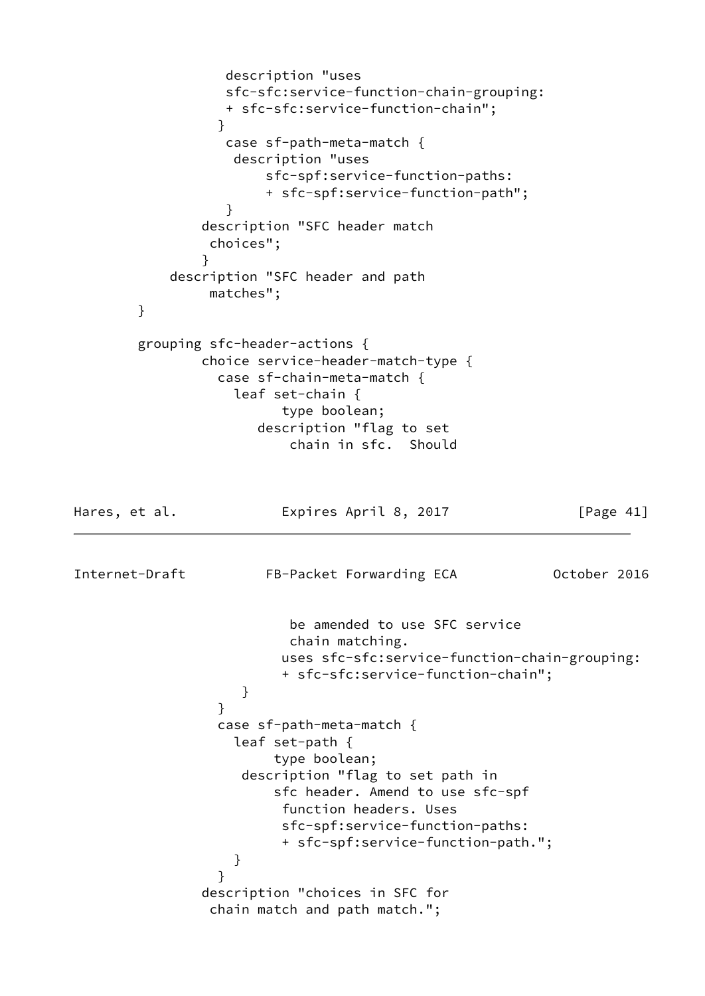```
 description "uses
                  sfc-sfc:service-function-chain-grouping:
                  + sfc-sfc:service-function-chain";
 }
                  case sf-path-meta-match {
                   description "uses
                      sfc-spf:service-function-paths:
                      + sfc-spf:service-function-path";
 }
               description "SFC header match
                choices";
 }
           description "SFC header and path
                matches";
        }
        grouping sfc-header-actions {
               choice service-header-match-type {
                 case sf-chain-meta-match {
                   leaf set-chain {
                        type boolean;
                     description "flag to set
                         chain in sfc. Should
Hares, et al. Expires April 8, 2017 [Page 41]
Internet-Draft FB-Packet Forwarding ECA 0ctober 2016
                         be amended to use SFC service
                         chain matching.
                        uses sfc-sfc:service-function-chain-grouping:
                        + sfc-sfc:service-function-chain";
 }
 }
                 case sf-path-meta-match {
                   leaf set-path {
                       type boolean;
                   description "flag to set path in
                       sfc header. Amend to use sfc-spf
                        function headers. Uses
                        sfc-spf:service-function-paths:
                        + sfc-spf:service-function-path.";
 }
 }
               description "choices in SFC for
                chain match and path match.";
```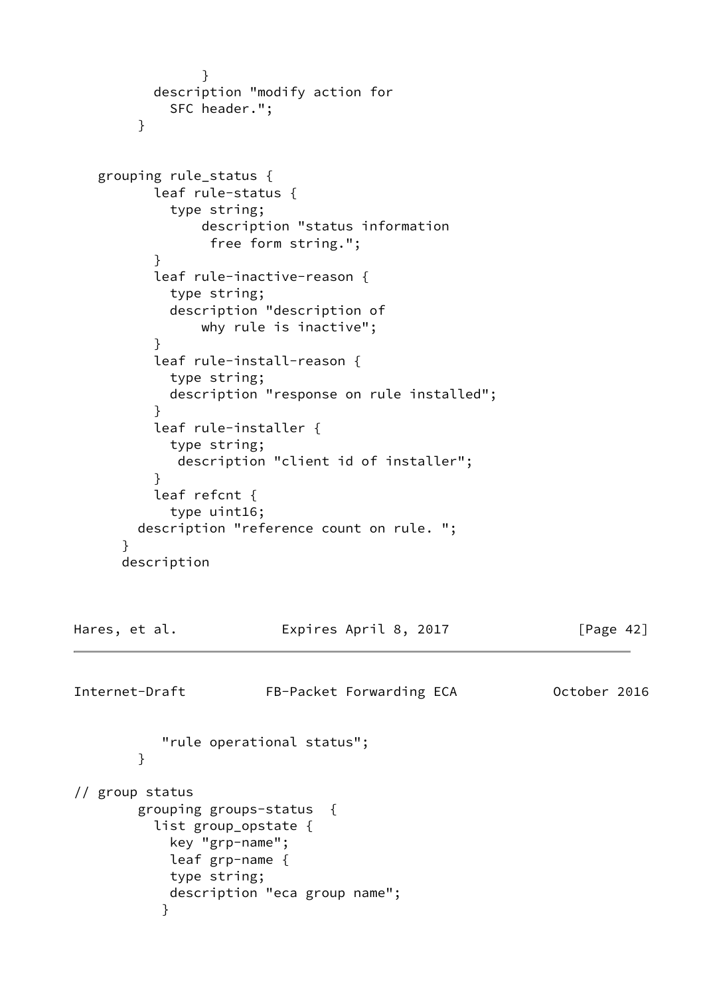```
 }
          description "modify action for
            SFC header.";
        }
   grouping rule_status {
          leaf rule-status {
            type string;
                description "status information
                 free form string.";
          }
          leaf rule-inactive-reason {
            type string;
            description "description of
                why rule is inactive";
 }
          leaf rule-install-reason {
            type string;
            description "response on rule installed";
 }
          leaf rule-installer {
            type string;
             description "client id of installer";
          }
          leaf refcnt {
            type uint16;
        description "reference count on rule. ";
      }
      description
Hares, et al. Expires April 8, 2017 [Page 42]
Internet-Draft FB-Packet Forwarding ECA 0ctober 2016
           "rule operational status";
        }
// group status
        grouping groups-status {
          list group_opstate {
            key "grp-name";
            leaf grp-name {
            type string;
            description "eca group name";
 }
```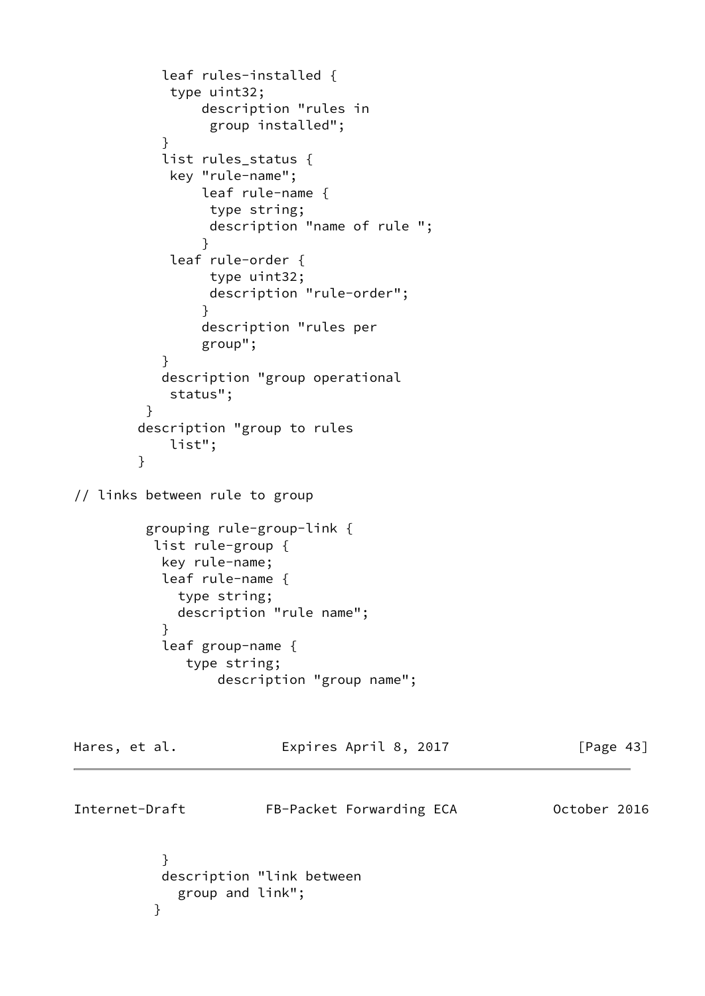```
 leaf rules-installed {
           type uint32;
               description "rules in
                group installed";
 }
           list rules_status {
            key "rule-name";
               leaf rule-name {
                type string;
                description "name of rule ";
 }
            leaf rule-order {
                type uint32;
                description "rule-order";
 }
               description "rules per
               group";
 }
           description "group operational
            status";
         }
        description "group to rules
            list";
        }
// links between rule to group
         grouping rule-group-link {
          list rule-group {
           key rule-name;
           leaf rule-name {
            type string;
            description "rule name";
 }
           leaf group-name {
             type string;
                 description "group name";
Hares, et al. Expires April 8, 2017 [Page 43]
Internet-Draft FB-Packet Forwarding ECA 0ctober 2016
 }
           description "link between
            group and link";
```
}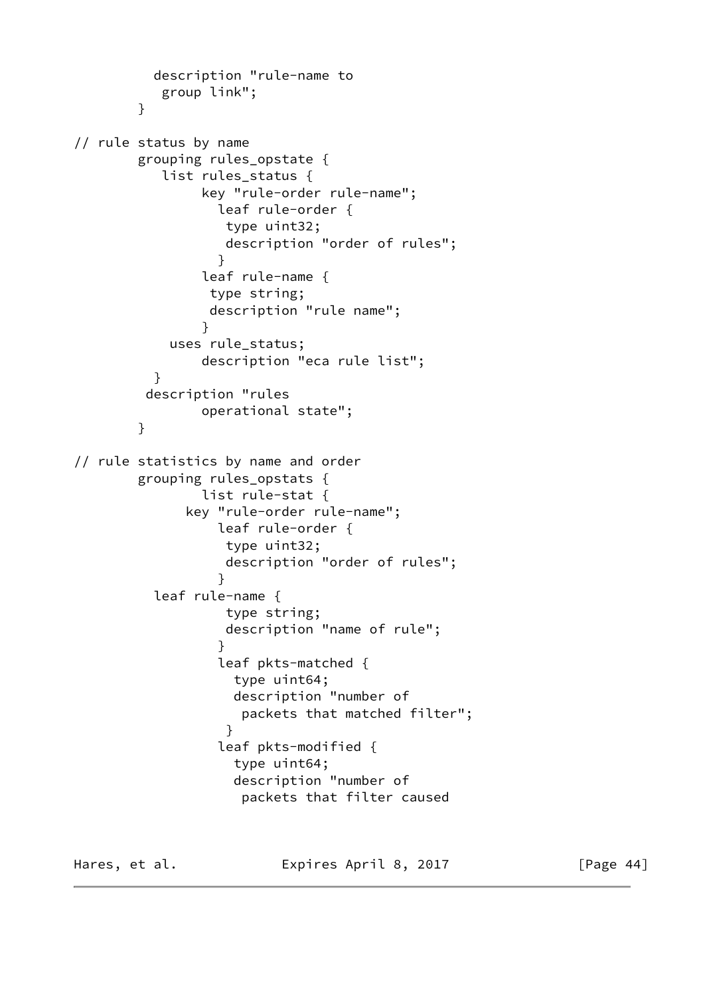```
 description "rule-name to
           group link";
        }
// rule status by name
        grouping rules_opstate {
          list rules status {
                key "rule-order rule-name";
                  leaf rule-order {
                   type uint32;
                   description "order of rules";
 }
                leaf rule-name {
                 type string;
                 description "rule name";
 }
            uses rule_status;
                description "eca rule list";
 }
         description "rules
                operational state";
        }
// rule statistics by name and order
        grouping rules_opstats {
                list rule-stat {
              key "rule-order rule-name";
                  leaf rule-order {
                   type uint32;
                   description "order of rules";
 }
          leaf rule-name {
                   type string;
                   description "name of rule";
 }
                  leaf pkts-matched {
                    type uint64;
                    description "number of
                     packets that matched filter";
 }
                  leaf pkts-modified {
                    type uint64;
                    description "number of
                     packets that filter caused
```
Hares, et al. **Expires April 8, 2017** [Page 44]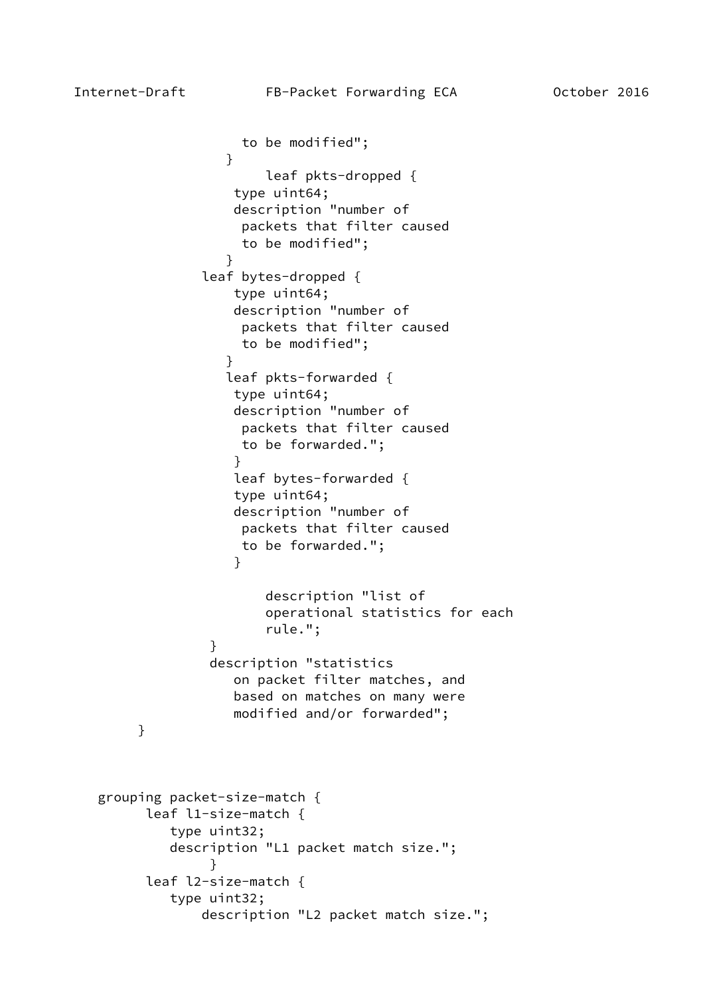```
 to be modified";
 }
                       leaf pkts-dropped {
                   type uint64;
                   description "number of
                    packets that filter caused
                    to be modified";
 }
               leaf bytes-dropped {
                   type uint64;
                   description "number of
                    packets that filter caused
                    to be modified";
 }
                  leaf pkts-forwarded {
                   type uint64;
                   description "number of
                    packets that filter caused
                    to be forwarded.";
 }
                   leaf bytes-forwarded {
                   type uint64;
                   description "number of
                    packets that filter caused
                    to be forwarded.";
 }
                       description "list of
                       operational statistics for each
                       rule.";
 }
                description "statistics
                   on packet filter matches, and
                   based on matches on many were
                   modified and/or forwarded";
        }
   grouping packet-size-match {
         leaf l1-size-match {
           type uint32;
           description "L1 packet match size.";
 }
         leaf l2-size-match {
           type uint32;
               description "L2 packet match size.";
```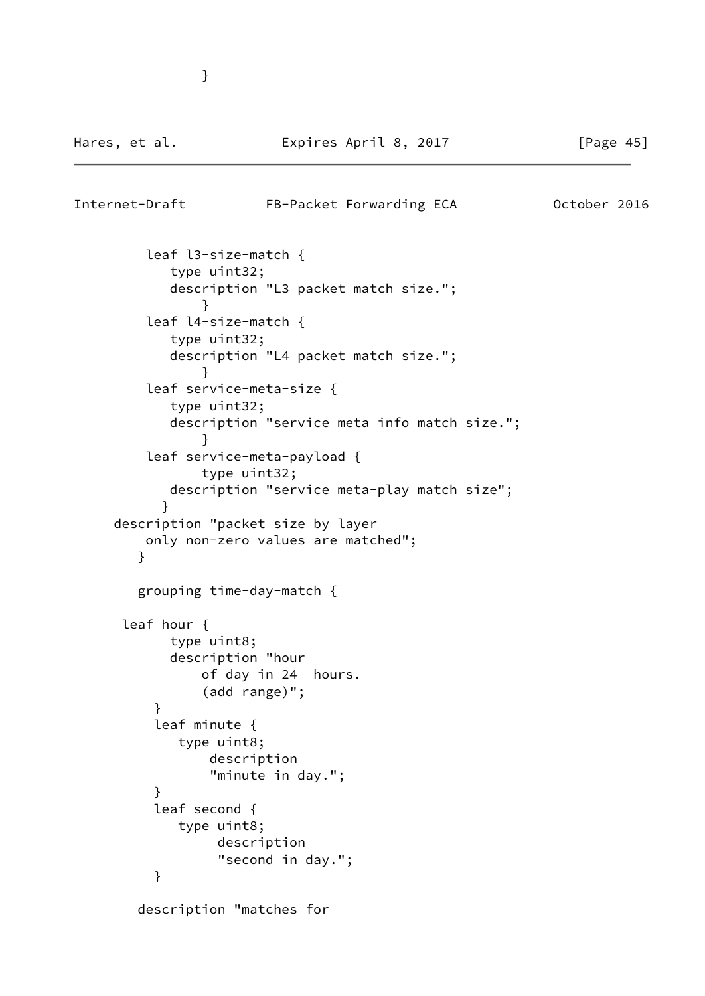```
Internet-Draft FB-Packet Forwarding ECA 0ctober 2016
         leaf l3-size-match {
            type uint32;
            description "L3 packet match size.";
 }
         leaf l4-size-match {
            type uint32;
            description "L4 packet match size.";
 }
         leaf service-meta-size {
            type uint32;
            description "service meta info match size.";
 }
         leaf service-meta-payload {
               type uint32;
            description "service meta-play match size";
 }
     description "packet size by layer
         only non-zero values are matched";
        }
        grouping time-day-match {
      leaf hour {
            type uint8;
            description "hour
               of day in 24 hours.
                (add range)";
 }
          leaf minute {
             type uint8;
                description
                "minute in day.";
 }
          leaf second {
             type uint8;
                 description
                 "second in day.";
 }
        description "matches for
```
}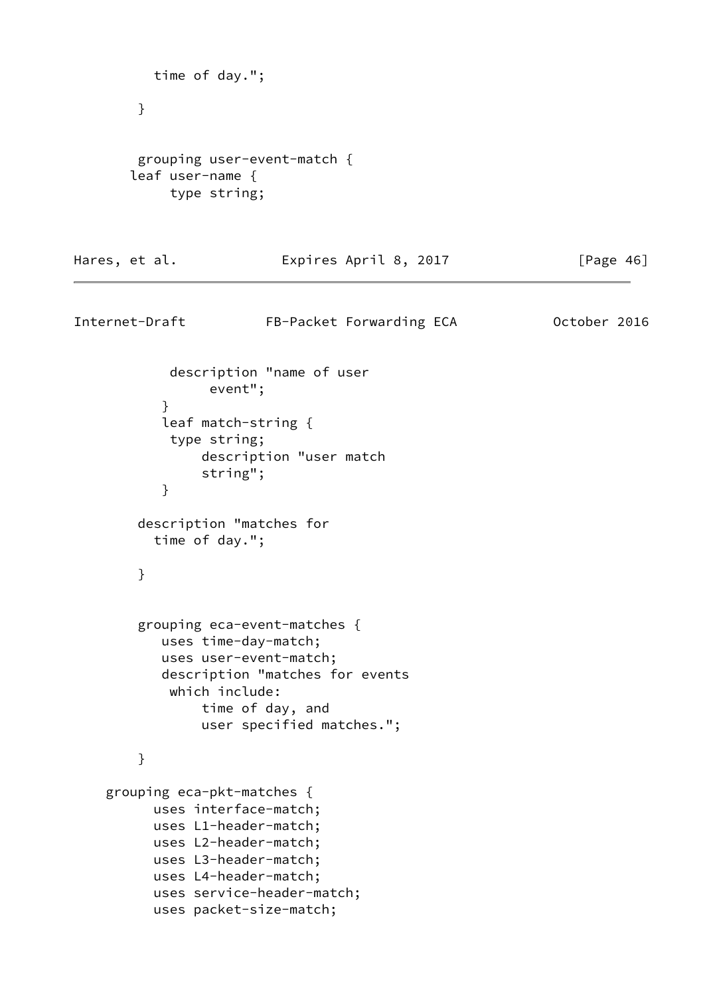```
 time of day.";
 }
  grouping user-event-match {
 leaf user-name {
      type string;
```
#### Hares, et al. **Expires April 8, 2017** [Page 46]

```
Internet-Draft FB-Packet Forwarding ECA 0ctober 2016
             description "name of user
                 event";
 }
            leaf match-string {
            type string;
                description "user match
                 string";
 }
         description "matches for
           time of day.";
        }
         grouping eca-event-matches {
            uses time-day-match;
            uses user-event-match;
           description "matches for events
            which include:
                time of day, and
                user specified matches.";
         }
     grouping eca-pkt-matches {
          uses interface-match;
           uses L1-header-match;
           uses L2-header-match;
           uses L3-header-match;
           uses L4-header-match;
           uses service-header-match;
           uses packet-size-match;
```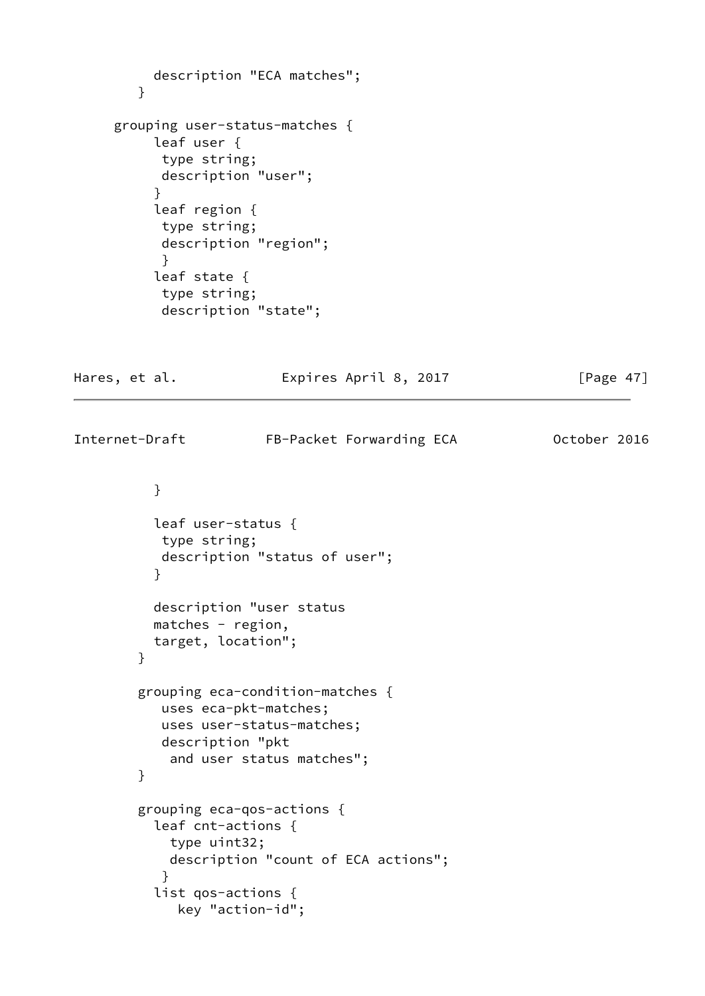```
 description "ECA matches";
        }
     grouping user-status-matches {
          leaf user {
           type string;
           description "user";
 }
          leaf region {
           type string;
           description "region";
           }
          leaf state {
           type string;
           description "state";
Hares, et al. Expires April 8, 2017 [Page 47]
Internet-Draft FB-Packet Forwarding ECA 0ctober 2016
          }
          leaf user-status {
           type string;
           description "status of user";
 }
          description "user status
          matches - region,
          target, location";
        }
        grouping eca-condition-matches {
           uses eca-pkt-matches;
           uses user-status-matches;
           description "pkt
            and user status matches";
        }
        grouping eca-qos-actions {
          leaf cnt-actions {
            type uint32;
            description "count of ECA actions";
 }
          list qos-actions {
             key "action-id";
```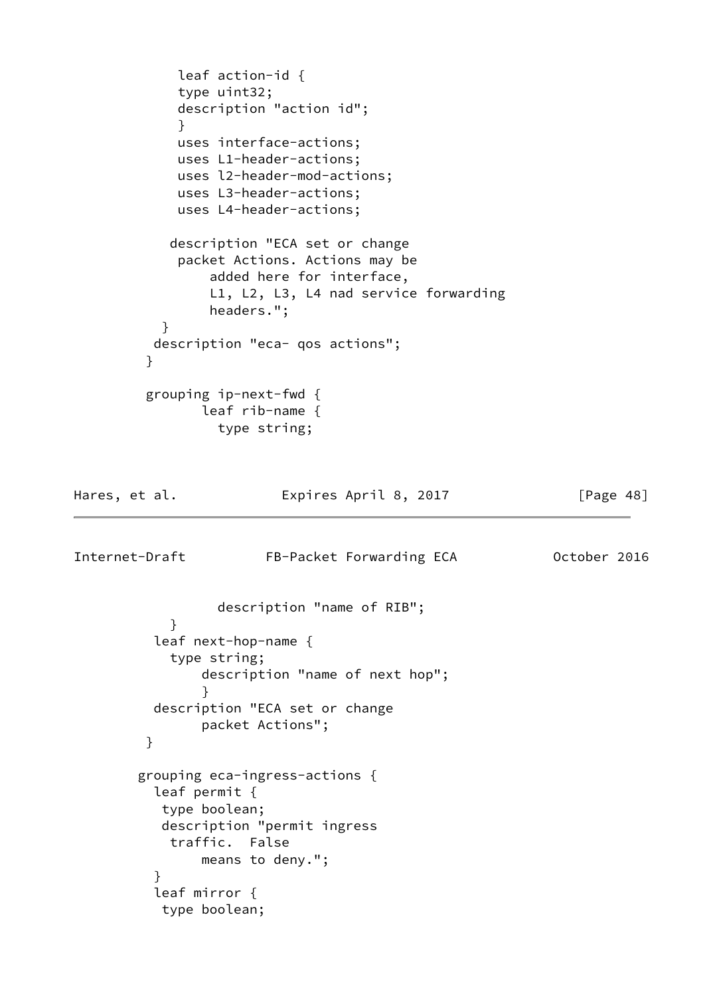```
 leaf action-id {
             type uint32;
             description "action id";
 }
             uses interface-actions;
             uses L1-header-actions;
             uses l2-header-mod-actions;
             uses L3-header-actions;
             uses L4-header-actions;
            description "ECA set or change
             packet Actions. Actions may be
                added here for interface,
                L1, L2, L3, L4 nad service forwarding
                headers.";
 }
          description "eca- qos actions";
 }
         grouping ip-next-fwd {
               leaf rib-name {
                 type string;
Hares, et al. Expires April 8, 2017 [Page 48]
Internet-Draft FB-Packet Forwarding ECA 0ctober 2016
                 description "name of RIB";
 }
          leaf next-hop-name {
            type string;
                description "name of next hop";
 }
          description "ECA set or change
               packet Actions";
         }
        grouping eca-ingress-actions {
          leaf permit {
           type boolean;
           description "permit ingress
            traffic. False
               means to deny.";
 }
          leaf mirror {
           type boolean;
```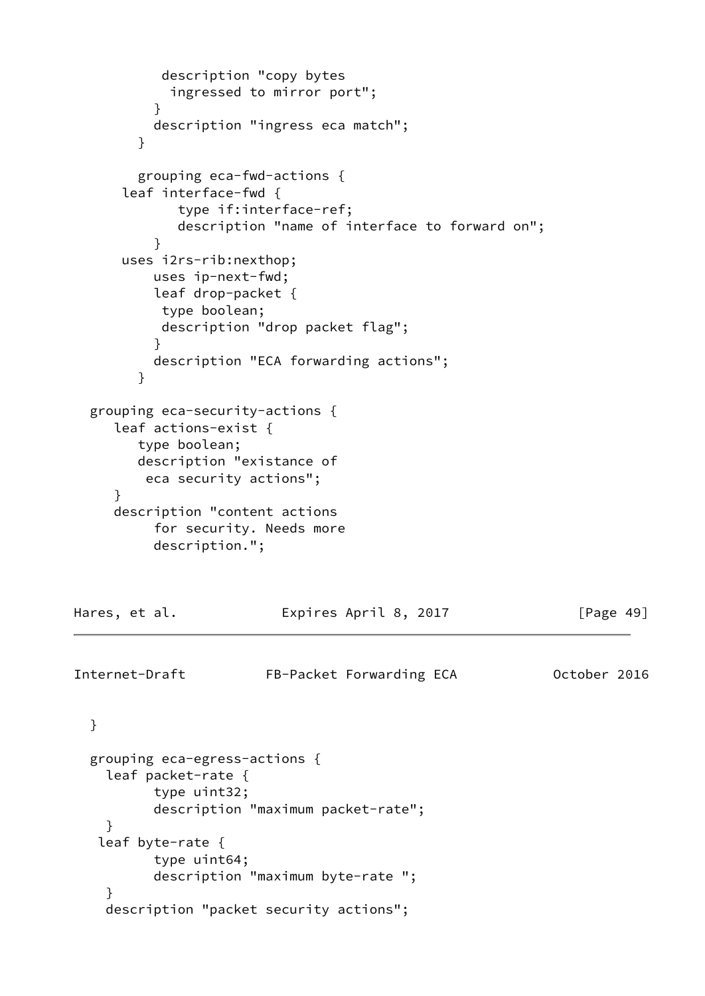```
 description "copy bytes
            ingressed to mirror port";
 }
          description "ingress eca match";
        }
        grouping eca-fwd-actions {
      leaf interface-fwd {
             type if:interface-ref;
             description "name of interface to forward on";
 }
      uses i2rs-rib:nexthop;
          uses ip-next-fwd;
          leaf drop-packet {
           type boolean;
           description "drop packet flag";
 }
          description "ECA forwarding actions";
        }
  grouping eca-security-actions {
     leaf actions-exist {
        type boolean;
        description "existance of
         eca security actions";
      }
     description "content actions
          for security. Needs more
          description.";
Hares, et al. Expires April 8, 2017 [Page 49]
Internet-Draft FB-Packet Forwarding ECA 0ctober 2016
  }
  grouping eca-egress-actions {
    leaf packet-rate {
          type uint32;
          description "maximum packet-rate";
    }
    leaf byte-rate {
          type uint64;
          description "maximum byte-rate ";
     }
    description "packet security actions";
```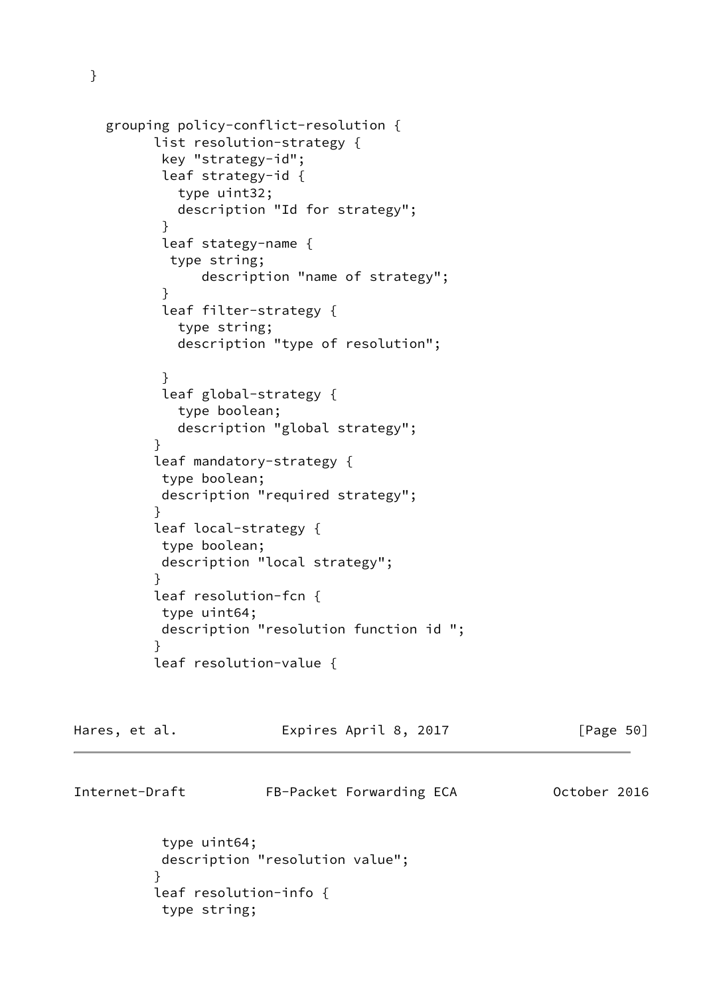```
 grouping policy-conflict-resolution {
          list resolution-strategy {
           key "strategy-id";
           leaf strategy-id {
             type uint32;
             description "Id for strategy";
 }
           leaf stategy-name {
            type string;
                description "name of strategy";
 }
           leaf filter-strategy {
             type string;
             description "type of resolution";
 }
           leaf global-strategy {
             type boolean;
```

```
 description "global strategy";
 leaf mandatory-strategy {
  type boolean;
  description "required strategy";
 leaf local-strategy {
 type boolean;
  description "local strategy";
 }
 leaf resolution-fcn {
 type uint64;
```

```
 description "resolution function id ";
 }
          leaf resolution-value {
```

| Hares, et al.                        | Expires April 8, 2017    | [Page 50]    |
|--------------------------------------|--------------------------|--------------|
| Internet-Draft                       | FB-Packet Forwarding ECA | October 2016 |
| $+$ $in \land$ $i \land + C \land i$ |                          |              |

```
 type uint64;
           description "resolution value";
 }
          leaf resolution-info {
           type string;
```
}

}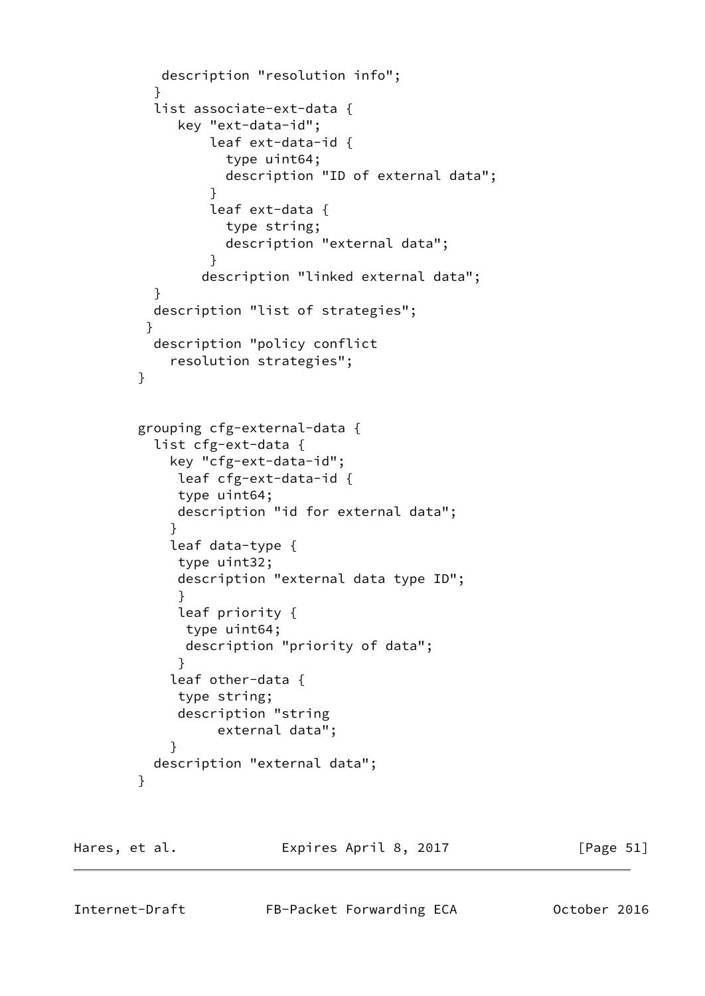```
 description "resolution info";
 }
          list associate-ext-data {
             key "ext-data-id";
                 leaf ext-data-id {
                   type uint64;
                   description "ID of external data";
 }
                 leaf ext-data {
                   type string;
                   description "external data";
 }
                description "linked external data";
          }
          description "list of strategies";
         }
          description "policy conflict
            resolution strategies";
        }
        grouping cfg-external-data {
          list cfg-ext-data {
            key "cfg-ext-data-id";
             leaf cfg-ext-data-id {
             type uint64;
             description "id for external data";
 }
            leaf data-type {
             type uint32;
             description "external data type ID";
 }
             leaf priority {
              type uint64;
              description "priority of data";
 }
            leaf other-data {
             type string;
             description "string
                  external data";
 }
          description "external data";
        }
```
Hares, et al. **Expires April 8, 2017** [Page 51]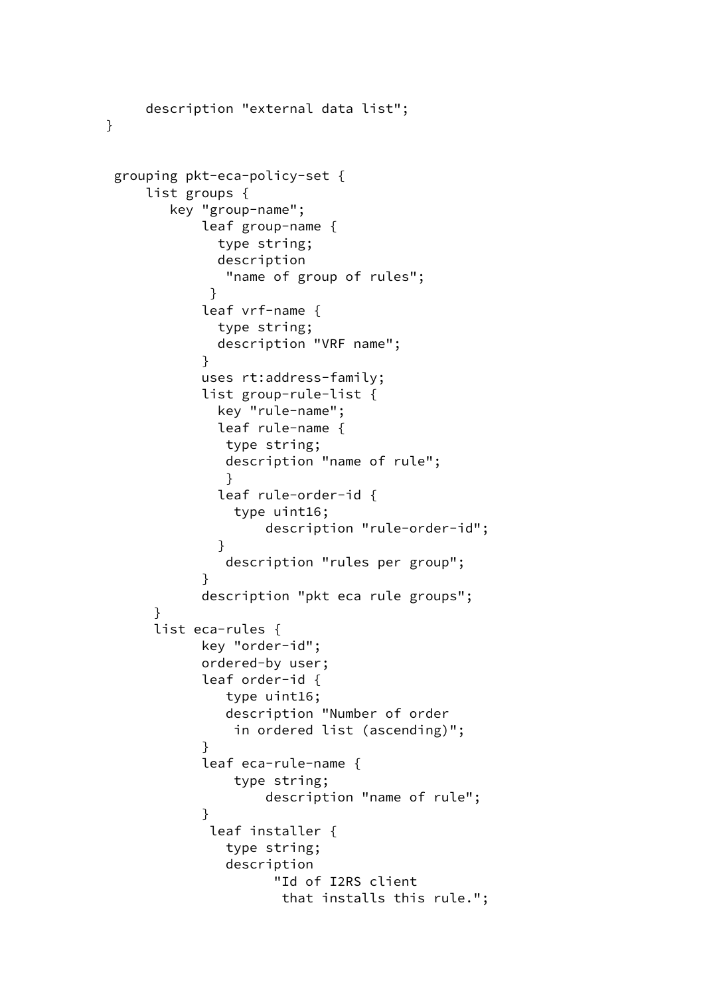```
 description "external data list";
     grouping pkt-eca-policy-set {
         list groups {
            key "group-name";
                leaf group-name {
                 type string;
                 description
                  "name of group of rules";
 }
                leaf vrf-name {
                 type string;
                 description "VRF name";
 }
               uses rt:address-family;
                list group-rule-list {
                 key "rule-name";
                 leaf rule-name {
                  type string;
                  description "name of rule";
 }
                 leaf rule-order-id {
                   type uint16;
                       description "rule-order-id";
 }
                  description "rules per group";
 }
               description "pkt eca rule groups";
          }
          list eca-rules {
               key "order-id";
                ordered-by user;
                leaf order-id {
                  type uint16;
                  description "Number of order
                   in ordered list (ascending)";
 }
                leaf eca-rule-name {
                   type string;
                       description "name of rule";
 }
                leaf installer {
                  type string;
                  description
                        "Id of I2RS client
                         that installs this rule.";
```
}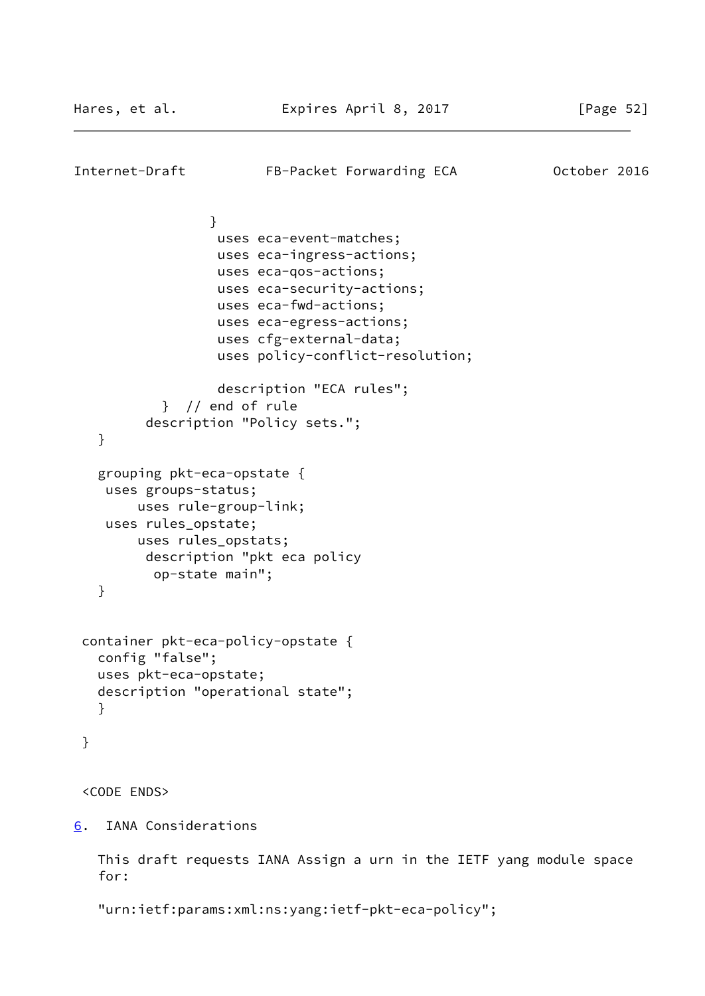```
Internet-Draft FB-Packet Forwarding ECA 0ctober 2016
 }
                   uses eca-event-matches;
                   uses eca-ingress-actions;
                   uses eca-qos-actions;
                   uses eca-security-actions;
                   uses eca-fwd-actions;
                   uses eca-egress-actions;
                   uses cfg-external-data;
                   uses policy-conflict-resolution;
                   description "ECA rules";
            } // end of rule
          description "Policy sets.";
   }
    grouping pkt-eca-opstate {
    uses groups-status;
         uses rule-group-link;
     uses rules_opstate;
         uses rules_opstats;
          description "pkt eca policy
           op-state main";
    }
  container pkt-eca-policy-opstate {
   config "false";
   uses pkt-eca-opstate;
   description "operational state";
    }
  }
  <CODE ENDS>
6. IANA Considerations
   This draft requests IANA Assign a urn in the IETF yang module space
    for:
```

```
 "urn:ietf:params:xml:ns:yang:ietf-pkt-eca-policy";
```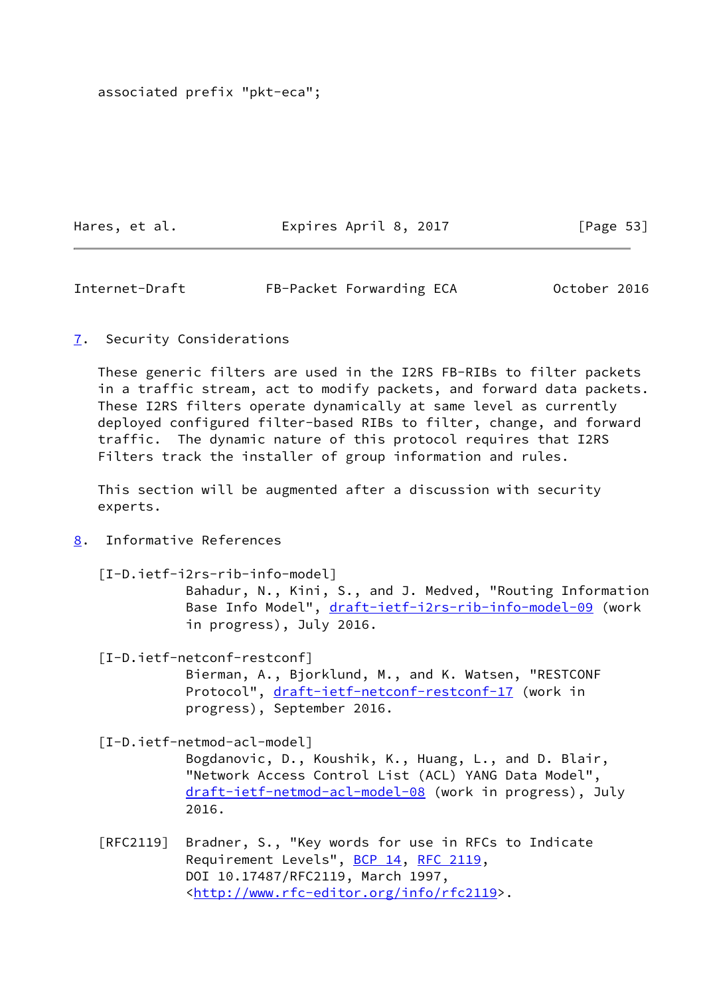associated prefix "pkt-eca";

Hares, et al. **Expires April 8, 2017** [Page 53]

<span id="page-60-1"></span>Internet-Draft FB-Packet Forwarding ECA 0ctober 2016

<span id="page-60-0"></span>[7](#page-60-0). Security Considerations

 These generic filters are used in the I2RS FB-RIBs to filter packets in a traffic stream, act to modify packets, and forward data packets. These I2RS filters operate dynamically at same level as currently deployed configured filter-based RIBs to filter, change, and forward traffic. The dynamic nature of this protocol requires that I2RS Filters track the installer of group information and rules.

 This section will be augmented after a discussion with security experts.

<span id="page-60-2"></span>[8](#page-60-2). Informative References

[I-D.ietf-i2rs-rib-info-model]

 Bahadur, N., Kini, S., and J. Medved, "Routing Information Base Info Model", [draft-ietf-i2rs-rib-info-model-09](https://datatracker.ietf.org/doc/pdf/draft-ietf-i2rs-rib-info-model-09) (work in progress), July 2016.

 [I-D.ietf-netconf-restconf] Bierman, A., Bjorklund, M., and K. Watsen, "RESTCONF Protocol", [draft-ietf-netconf-restconf-17](https://datatracker.ietf.org/doc/pdf/draft-ietf-netconf-restconf-17) (work in

progress), September 2016.

[I-D.ietf-netmod-acl-model]

 Bogdanovic, D., Koushik, K., Huang, L., and D. Blair, "Network Access Control List (ACL) YANG Data Model", [draft-ietf-netmod-acl-model-08](https://datatracker.ietf.org/doc/pdf/draft-ietf-netmod-acl-model-08) (work in progress), July 2016.

 [RFC2119] Bradner, S., "Key words for use in RFCs to Indicate Requirement Levels", [BCP 14](https://datatracker.ietf.org/doc/pdf/bcp14), [RFC 2119](https://datatracker.ietf.org/doc/pdf/rfc2119), DOI 10.17487/RFC2119, March 1997, <<http://www.rfc-editor.org/info/rfc2119>>.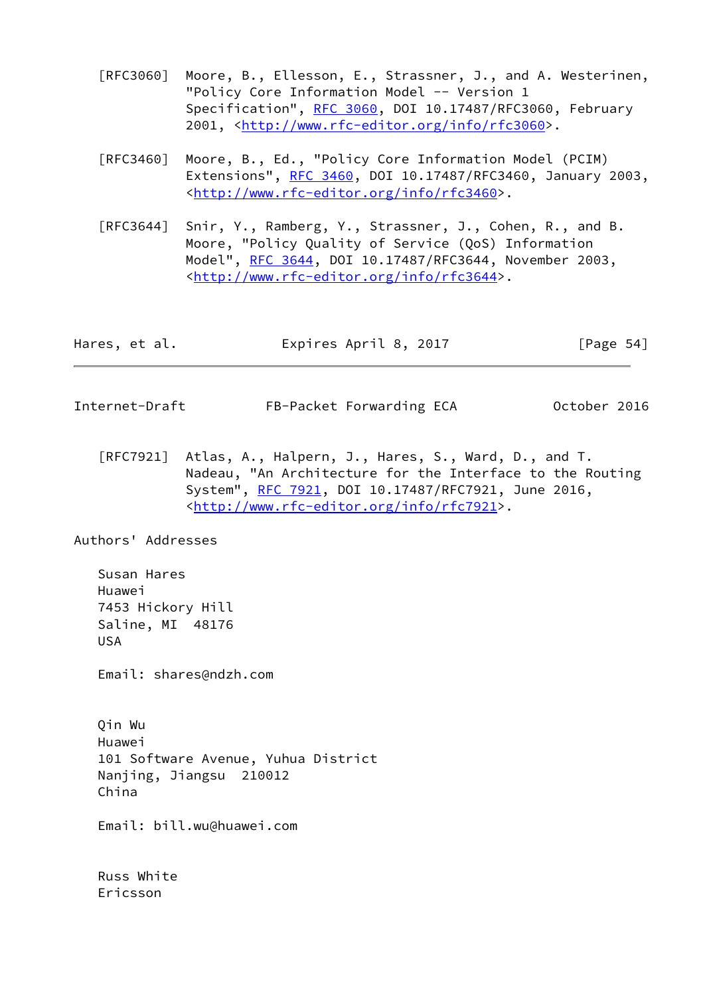- [RFC3060] Moore, B., Ellesson, E., Strassner, J., and A. Westerinen, "Policy Core Information Model -- Version 1 Specification", [RFC 3060,](https://datatracker.ietf.org/doc/pdf/rfc3060) DOI 10.17487/RFC3060, February 2001, [<http://www.rfc-editor.org/info/rfc3060](http://www.rfc-editor.org/info/rfc3060)>.
- [RFC3460] Moore, B., Ed., "Policy Core Information Model (PCIM) Extensions", [RFC 3460](https://datatracker.ietf.org/doc/pdf/rfc3460), DOI 10.17487/RFC3460, January 2003, <<http://www.rfc-editor.org/info/rfc3460>>.
- [RFC3644] Snir, Y., Ramberg, Y., Strassner, J., Cohen, R., and B. Moore, "Policy Quality of Service (QoS) Information Model", [RFC 3644,](https://datatracker.ietf.org/doc/pdf/rfc3644) DOI 10.17487/RFC3644, November 2003, <<http://www.rfc-editor.org/info/rfc3644>>.

| Hares, et al. | Expires April 8, 2017 | [Page 54] |
|---------------|-----------------------|-----------|
|---------------|-----------------------|-----------|

- <span id="page-61-0"></span>Internet-Draft FB-Packet Forwarding ECA 0ctober 2016
	- [RFC7921] Atlas, A., Halpern, J., Hares, S., Ward, D., and T. Nadeau, "An Architecture for the Interface to the Routing System", [RFC 7921,](https://datatracker.ietf.org/doc/pdf/rfc7921) DOI 10.17487/RFC7921, June 2016, <<http://www.rfc-editor.org/info/rfc7921>>.

Authors' Addresses

 Susan Hares Huawei 7453 Hickory Hill Saline, MI 48176 USA

Email: shares@ndzh.com

 Qin Wu Huawei 101 Software Avenue, Yuhua District Nanjing, Jiangsu 210012 China

Email: bill.wu@huawei.com

 Russ White Ericsson